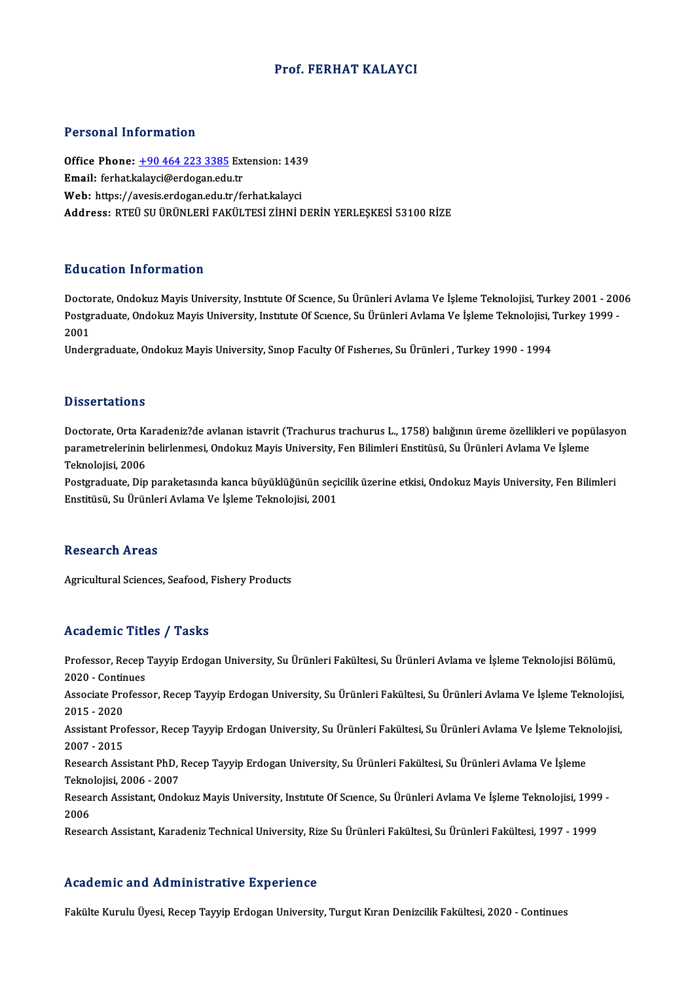## Prof. FERHAT KALAYCI

#### Personal Information

Personal Information<br>Office Phone: <u>+90 464 223 3385</u> Extension: 1439<br>Email: forbet kalaysi@ordogan.odu.tr Personal Information<br>Office Phone: <u>+90 464 223 3385</u> Ext<br>Email: ferhat.k[alayci@erdogan.edu](tel:+90 464 223 3385).tr Office Phone: <u>+90 464 223 3385</u> Extension: 143<br>Email: ferhat.kalayci@erdogan.edu.tr<br>Web: https://avesis.erdogan.edu.tr/ferhat.kalayci<br>Address. PTEÜ SU ÜPÜNU FPİ FAKÜLTESİ ZİHNİ I Email: ferhat.kalayci@erdogan.edu.tr<br>Web: https://avesis.erdogan.edu.tr/ferhat.kalayci<br>Address: RTEÜ SU ÜRÜNLERİ FAKÜLTESİ ZİHNİ DERİN YERLESKESİ 53100 RİZE

#### Education Information

**Education Information<br>Doctorate, Ondokuz Mayis University, Institute Of Science, Su Ürünleri Avlama Ve İşleme Teknolojisi, Turkey 2001 - 2006<br>Postsraduate Ondokuz Mayis University, Institute Of Science, Su Ürünleri Aylama** Pu u sutrom mirominusion<br>Doctorate, Ondokuz Mayis University, Institute Of Science, Su Ürünleri Avlama Ve İşleme Teknolojisi, Turkey 2001 - 200<br>Postgraduate, Ondokuz Mayis University, Institute Of Science, Su Ürünleri Avla Docto<br>Postgi<br>2001<br>Under Postgraduate, Ondokuz Mayis University, Institute Of Science, Su Ürünleri Avlama Ve İşleme Teknolojisi, Turkey 1999 -<br>2001<br>Undergraduate, Ondokuz Mayis University, Sınop Faculty Of Fısheries, Su Ürünleri , Turkey 1990 - 19

#### **Dissertations**

Dissertations<br>Doctorate, Orta Karadeniz?de avlanan istavrit (Trachurus trachurus L., 1758) balığının üreme özellikleri ve popülasyon<br>Parametralerinin balirlanmesi, Ondelaya Mavis University, Fen Bilimleri Enstitüsü, Su Ünü parasta tatronis<br>Doctorate, Orta Karadeniz?de avlanan istavrit (Trachurus trachurus L., 1758) balığının üreme özellikleri ve popi<br>Palmalajisi, 2006 Doctorate, Orta Ka<br>parametrelerinin<br>Teknolojisi, 2006<br>Postareduate Din parametrelerinin belirlenmesi, Ondokuz Mayis University, Fen Bilimleri Enstitüsü, Su Ürünleri Avlama Ve İşleme<br>Teknolojisi, 2006<br>Postgraduate, Dip paraketasında kanca büyüklüğünün secicilik üzerine etkisi, Ondokuz Mayis Un

Enstitüsü,SuÜrünleriAvlamaVe İşlemeTeknolojisi,2001

#### Research Areas

Agricultural Sciences, Seafood, Fishery Products

#### Academic Titles / Tasks

**Academic Titles / Tasks**<br>Professor, Recep Tayyip Erdogan University, Su Ürünleri Fakültesi, Su Ürünleri Avlama ve İşleme Teknolojisi Bölümü,<br>2020. *Continues* Professor, Recep<br>2020 - Continues<br>Associate Profess Professor, Recep Tayyip Erdogan University, Su Ürünleri Fakültesi, Su Ürünleri Avlama ve İşleme Teknolojisi Bölümü,<br>2020 - Continues<br>Associate Professor, Recep Tayyip Erdogan University, Su Ürünleri Fakültesi, Su Ürünleri 2020 - Contin<br>Associate Pro<br>2015 - 2020<br>Assistant Pro Associate Professor, Recep Tayyip Erdogan University, Su Ürünleri Fakültesi, Su Ürünleri Avlama Ve İşleme Teknolojisi,<br>2015 - 2020<br>Assistant Professor, Recep Tayyip Erdogan University, Su Ürünleri Fakültesi, Su Ürünleri Av 2015 - 2020<br>Assistant Pro<br>2007 - 2015<br>Besearsh Ass Assistant Professor, Recep Tayyip Erdogan University, Su Ürünleri Fakültesi, Su Ürünleri Avlama Ve İşleme Tekr<br>2007 - 2015<br>Research Assistant PhD, Recep Tayyip Erdogan University, Su Ürünleri Fakültesi, Su Ürünleri Avlama 2007 - 2015<br>Research Assistant PhD, Recep Tayyip Erdogan University, Su Ürünleri Fakültesi, Su Ürünleri Avlama Ve İşleme<br>Teknolojisi, 2006 - 2007 Research Assistant PhD, Recep Tayyip Erdogan University, Su Ürünleri Fakültesi, Su Ürünleri Avlama Ve İşleme<br>Teknolojisi, 2006 - 2007<br>Research Assistant, Ondokuz Mayis University, Institute Of Scıence, Su Ürünleri Avlama V Tekno<br>Resea<br>2006<br>Besea Research Assistant, Ondokuz Mayis University, Institute Of Science, Su Ürünleri Avlama Ve İşleme Teknolojisi, 1999<br>2006<br>Research Assistant, Karadeniz Technical University, Rize Su Ürünleri Fakültesi, Su Ürünleri Fakültesi, Research Assistant, Karadeniz Technical University, Rize Su Ürünleri Fakültesi, Su Ürünleri Fakültesi, 1997 - 1999<br>Academic and Administrative Experience

Fakülte Kurulu Üyesi, Recep Tayyip Erdogan University, Turgut Kıran Denizcilik Fakültesi, 2020 - Continues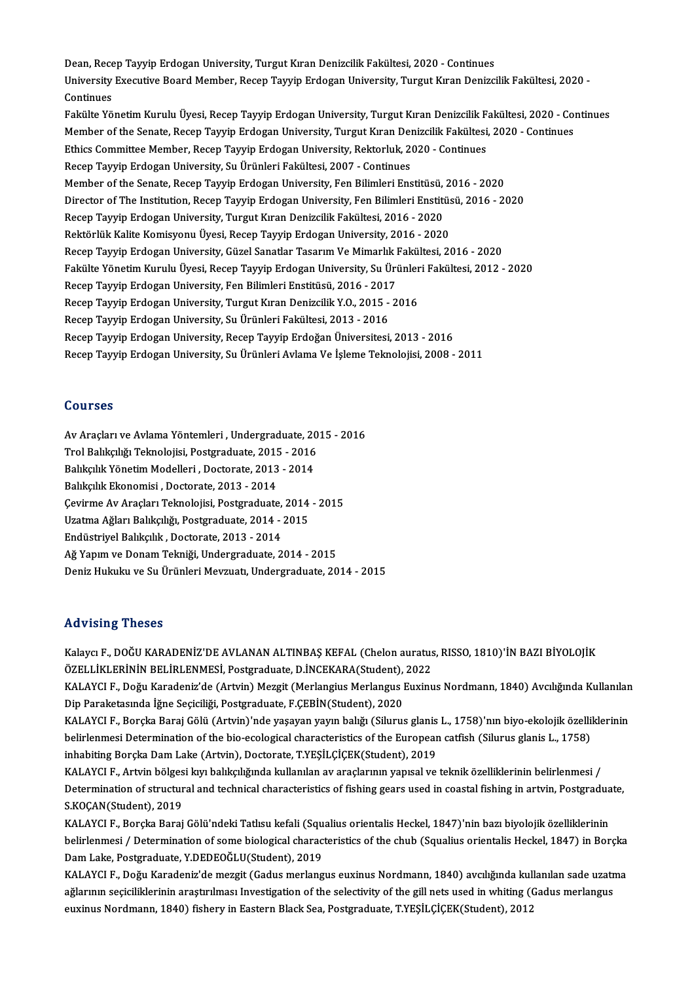Dean, Recep Tayyip Erdogan University, Turgut Kıran Denizcilik Fakültesi, 2020 - Continues<br>University Executive Beard Mamber, Beasn Teyrin Erdogan University, Turgut Kuran Denizci University Executive Board Member, Recep Tayyip Erdogan University, Turgut Kıran Denizcilik Fakültesi, 2020 -<br>Continues Dean, Rece<br>University<br>Continues<br>Eelrilte Vö University Executive Board Member, Recep Tayyip Erdogan University, Turgut Kıran Denizcilik Fakültesi, 2020 -<br>Continues<br>Fakülte Yönetim Kurulu Üyesi, Recep Tayyip Erdogan University, Turgut Kıran Denizcilik Fakültesi, 2020 Continues<br>Fakülte Yönetim Kurulu Üyesi, Recep Tayyip Erdogan University, Turgut Kıran Denizcilik Fakültesi, 2020 - Con<br>Member of the Senate, Recep Tayyip Erdogan University, Turgut Kıran Denizcilik Fakültesi, 2020 - Contin Fakülte Yönetim Kurulu Üyesi, Recep Tayyip Erdogan University, Turgut Kıran Denizcilik F<br>Member of the Senate, Recep Tayyip Erdogan University, Turgut Kıran Denizcilik Fakültesi<br>Ethics Committee Member, Recep Tayyip Erdoga Member of the Senate, Recep Tayyip Erdogan University, Turgut Kıran Denizcilik Fakültesi, 2020 - Continues<br>Ethics Committee Member, Recep Tayyip Erdogan University, Rektorluk, 2020 - Continues<br>Recep Tayyip Erdogan Universi Ethics Committee Member, Recep Tayyip Erdogan University, Rektorluk, 2020 - Continues<br>Recep Tayyip Erdogan University, Su Ürünleri Fakültesi, 2007 - Continues<br>Member of the Senate, Recep Tayyip Erdogan University, Fen Bili Recep Tayyip Erdogan University, Su Ürünleri Fakültesi, 2007 - Continues<br>Member of the Senate, Recep Tayyip Erdogan University, Fen Bilimleri Enstitüsü, 2016 - 2020<br>Director of The Institution, Recep Tayyip Erdogan Univers Member of the Senate, Recep Tayyip Erdogan University, Fen Bilimleri Enstitüsü,<br>Director of The Institution, Recep Tayyip Erdogan University, Fen Bilimleri Enstitü<br>Recep Tayyip Erdogan University, Turgut Kıran Denizcilik F Director of The Institution, Recep Tayyip Erdogan University, Fen Bilimleri Enstitüs<br>Recep Tayyip Erdogan University, Turgut Kıran Denizcilik Fakültesi, 2016 - 2020<br>Rektörlük Kalite Komisyonu Üyesi, Recep Tayyip Erdogan Un Recep Tayyip Erdogan University, Turgut Kıran Denizcilik Fakültesi, 2016 - 2020<br>Rektörlük Kalite Komisyonu Üyesi, Recep Tayyip Erdogan University, 2016 - 2020<br>Recep Tayyip Erdogan University, Güzel Sanatlar Tasarım Ve Mima FakülteYönetimKuruluÜyesi,RecepTayyipErdoganUniversity,SuÜrünleriFakültesi,2012 -2020 Recep Tayyip Erdogan University, Güzel Sanatlar Tasarım Ve Mimarlık I<br>Fakülte Yönetim Kurulu Üyesi, Recep Tayyip Erdogan University, Su Üri<br>Recep Tayyip Erdogan University, Fen Bilimleri Enstitüsü, 2016 - 2017<br>Recep Tayyip Fakülte Yönetim Kurulu Üyesi, Recep Tayyip Erdogan University, Su Ürünler<br>Recep Tayyip Erdogan University, Fen Bilimleri Enstitüsü, 2016 - 2017<br>Recep Tayyip Erdogan University, Turgut Kıran Denizcilik Y.O., 2015 - 2016<br>Bes Recep Tayyip Erdogan University, Fen Bilimleri Enstitüsü, 2016 - 2011<br>Recep Tayyip Erdogan University, Turgut Kıran Denizcilik Y.O., 2015 -<br>Recep Tayyip Erdogan University, Su Ürünleri Fakültesi, 2013 - 2016<br>Recep Tayyip E Recep Tayyip Erdogan University, Turgut Kıran Denizcilik Y.O., 2015 - 2016<br>Recep Tayyip Erdogan University, Su Ürünleri Fakültesi, 2013 - 2016<br>Recep Tayyip Erdogan University, Recep Tayyip Erdoğan Üniversitesi, 2013 - 2016 RecepTayyipErdoganUniversity,SuÜrünleriAvlamaVe İşlemeTeknolojisi,2008 -2011

#### Courses

Av Araçları ve Avlama Yöntemleri, Undergraduate, 2015 - 2016 SSAT*555*<br>Av Araçları ve Avlama Yöntemleri , Undergraduate, 20<br>Trol Balıkçılığı Teknolojisi, Postgraduate, 2015 - 2016<br>Balıkçılık Yönetim Modelleri, Dostarate, 2012, 2014 Av Araçları ve Avlama Yöntemleri , Undergraduate, 20<br>Trol Balıkçılığı Teknolojisi, Postgraduate, 2015 - 2016<br>Balıkçılık Fitonomisi, Doctorate, 2013 - 2014<br>Balıkçılık Fitonomisi, Doctorate, 2012, 2014 Trol Balıkçılığı Teknolojisi, Postgraduate, 2015<br>Balıkçılık Yönetim Modelleri , Doctorate, 2013<br>Balıkçılık Ekonomisi , Doctorate, 2013 - 2014<br>Caviume Av Aracları Teknolojisi, Bostaraduate Balıkçılık Yönetim Modelleri , Doctorate, 2013 - 2014<br>Balıkçılık Ekonomisi , Doctorate, 2013 - 2014<br>Çevirme Av Araçları Teknolojisi, Postgraduate, 2014 - 2015<br>Uzatma Ağları Balıkçılığı, Bostgraduate, 2014 - 2015 Balıkçılık Ekonomisi , Doctorate, 2013 - 2014<br>Çevirme Av Araçları Teknolojisi, Postgraduate, 2014<br>Uzatma Ağları Balıkçılığı, Postgraduate, 2014 - 2015<br>Endüstrivel Balıkçılık, Dostorate, 2012, 2014 Cevirme Av Araçları Teknolojisi, Postgraduate,<br>Uzatma Ağları Balıkçılığı, Postgraduate, 2014 -<br>Endüstriyel Balıkçılık , Doctorate, 2013 - 2014<br>Ağ Yanım ve Donam Telmiği, Undergraduate, 2 Uzatma Ağları Balıkçılığı, Postgraduate, 2014 - 2015<br>Endüstriyel Balıkçılık , Doctorate, 2013 - 2014<br>Ağ Yapım ve Donam Tekniği, Undergraduate, 2014 - 2015 Deniz Hukuku ve Su Ürünleri Mevzuatı, Undergraduate, 2014 - 2015

#### Advising Theses

Kalaycı F., DOĞU KARADENİZ'DE AVLANAN ALTINBAŞ KEFAL (Chelon auratus, RISSO, 1810)'İN BAZI BİYOLOJİK TA VISTING TIRSSES<br>Kalaycı F., DOĞU KARADENİZ'DE AVLANAN ALTINBAŞ KEFAL (Chelon auratus<br>ÖZELLİKLERİNİN BELİRLENMESİ, Postgraduate, D.İNCEKARA(Student), 2022<br>KALAYCLE, Doğu Karadeniz'de (Artuin) Meggit (Merlangius Merlangus KALAYCI F., Doğu Karadeniz'de (Artvin) Mezgit (Merlangius Merlangus Euxinus Nordmann, 1840) Avcılığında Kullanılan<br>Dip Paraketasında İğne Seçiciliği, Postgraduate, F.ÇEBİN(Student), 2020 ÖZELLİKLERİNİN BELİRLENMESİ, Postgraduate, D.İNCEKARA(Student),<br>KALAYCI F., Doğu Karadeniz'de (Artvin) Mezgit (Merlangius Merlangus I<br>Dip Paraketasında İğne Seçiciliği, Postgraduate, F.ÇEBİN(Student), 2020<br>KALAYCLE, Borgka KALAYCI F., Doğu Karadeniz'de (Artvin) Mezgit (Merlangius Merlangus Euxinus Nordmann, 1840) Avcılığında Kullanılan<br>Dip Paraketasında İğne Seçiciliği, Postgraduate, F.ÇEBİN(Student), 2020<br>KALAYCI F., Borçka Baraj Gölü (Artv Dip Paraketasında İğne Seçiciliği, Postgraduate, F.ÇEBİN(Student), 2020<br>KALAYCI F., Borçka Baraj Gölü (Artvin)'nde yaşayan yayın balığı (Silurus glanis L., 1758)'nın biyo-ekolojik özelli<br>belirlenmesi Determination of the b KALAYCI F., Borçka Baraj Gölü (Artvin)'nde yaşayan yayın balığı (Silurus glanis<br>belirlenmesi Determination of the bio-ecological characteristics of the Europear<br>inhabiting Borçka Dam Lake (Artvin), Doctorate, T.YEŞİLÇİÇEK( belirlenmesi Determination of the bio-ecological characteristics of the European catfish (Silurus glanis L., 1758)<br>inhabiting Borçka Dam Lake (Artvin), Doctorate, T.YEŞİLÇİÇEK(Student), 2019<br>KALAYCI F., Artvin bölgesi kıyı inhabiting Borçka Dam Lake (Artvin), Doctorate, T.YEŞİLÇİÇEK(Student), 2019<br>KALAYCI F., Artvin bölgesi kıyı balıkçılığında kullanılan av araçlarının yapısal ve teknik özelliklerinin belirlenmesi /<br>Determination of structur KALAYCI F., Artvin bölges<br>Determination of structur<br>S.KOÇAN(Student), 2019<br>KALAYCLE, Borgka Barai Determination of structural and technical characteristics of fishing gears used in coastal fishing in artvin, Postgradua<br>S.KOÇAN(Student), 2019<br>KALAYCI F., Borçka Baraj Gölü'ndeki Tatlısu kefali (Squalius orientalis Heckel S.KOÇAN(Student), 2019<br>KALAYCI F., Borçka Baraj Gölü'ndeki Tatlısu kefali (Squalius orientalis Heckel, 1847)'nin bazı biyolojik özelliklerinin<br>belirlenmesi / Determination of some biological characteristics of the chub (Sq KALAYCI F., Borçka Baraj Gölü'ndeki Tatlısu kefali (Squ<br>belirlenmesi / Determination of some biological charac<br>Dam Lake, Postgraduate, Y.DEDEOĞLU(Student), 2019<br>KALAYCLE, Değu Karadanir'de mergit (Cedus merlang belirlenmesi / Determination of some biological characteristics of the chub (Squalius orientalis Heckel, 1847) in Borçka<br>Dam Lake, Postgraduate, Y.DEDEOĞLU(Student), 2019<br>KALAYCI F., Doğu Karadeniz'de mezgit (Gadus merlang

Dam Lake, Postgraduate, Y.DEDEOĞLU(Student), 2019<br>KALAYCI F., Doğu Karadeniz'de mezgit (Gadus merlangus euxinus Nordmann, 1840) avcılığında kullanılan sade uzatn<br>ağlarının seçiciliklerinin araştırılması Investigation of th KALAYCI F., Doğu Karadeniz'de mezgit (Gadus merlangus euxinus Nordmann, 1840) avcılığında kul<br>ağlarının seçiciliklerinin araştırılması Investigation of the selectivity of the gill nets used in whiting ((<br>euxinus Nordmann,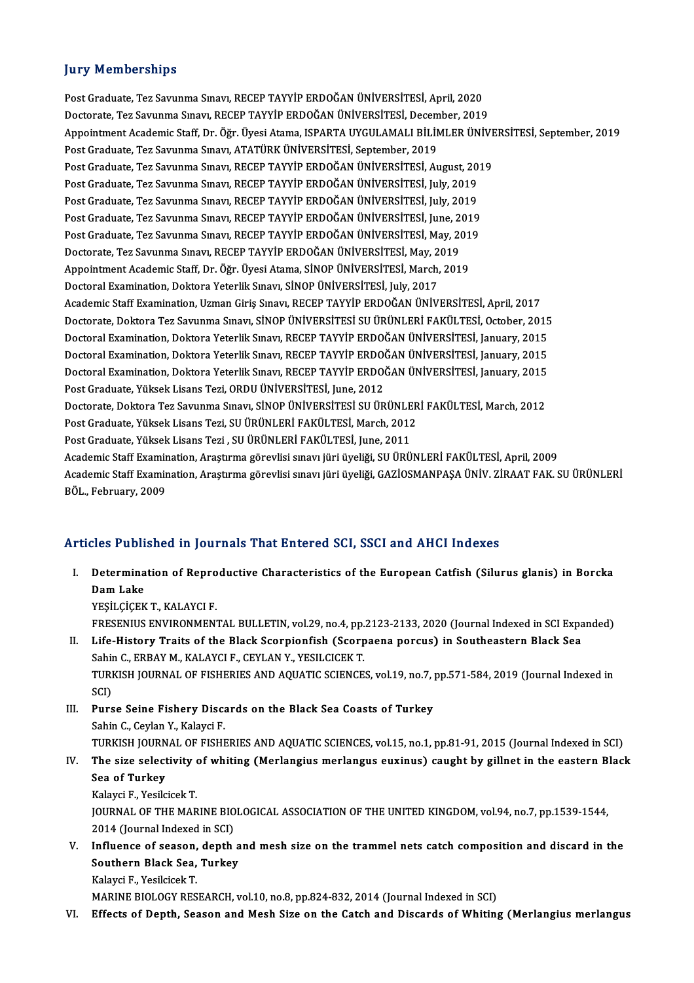## **Jury Memberships**

Post Graduate, Tez Savunma Sınavı, RECEP TAYYİP ERDOĞAN ÜNİVERSİTESİ, April, 2020 Jary Monnoorompo<br>Post Graduate, Tez Savunma Sınavı, RECEP TAYYİP ERDOĞAN ÜNİVERSİTESİ, April, 2020<br>Doctorate, Tez Savunma Sınavı, RECEP TAYYİP ERDOĞAN ÜNİVERSİTESİ, December, 2019<br>Anneintment Acedemie Staff, Dr. Öğr. Üyesi Post Graduate, Tez Savunma Sınavı, RECEP TAYYİP ERDOĞAN ÜNİVERSİTESİ, April, 2020<br>Doctorate, Tez Savunma Sınavı, RECEP TAYYİP ERDOĞAN ÜNİVERSİTESİ, December, 2019<br>Appointment Academic Staff, Dr. Öğr. Üyesi Atama, ISPARTA U Doctorate, Tez Savunma Sınavı, RECEP TAYYİP ERDOĞAN ÜNİVERSİTESİ, Decem<br>Appointment Academic Staff, Dr. Öğr. Üyesi Atama, ISPARTA UYGULAMALI BİLİN<br>Post Graduate, Tez Savunma Sınavı, ATATÜRK ÜNİVERSİTESİ, September, 2019<br>Po Appointment Academic Staff, Dr. Öğr. Üyesi Atama, ISPARTA UYGULAMALI BİLİMLER ÜNİVE<br>Post Graduate, Tez Savunma Sınavı, ATATÜRK ÜNİVERSİTESİ, September, 2019<br>Post Graduate, Tez Savunma Sınavı, RECEP TAYYİP ERDOĞAN ÜNİVERSİT Post Graduate, Tez Savunma Sınavı, ATATÜRK ÜNİVERSİTESİ, September, 2019<br>Post Graduate, Tez Savunma Sınavı, RECEP TAYYİP ERDOĞAN ÜNİVERSİTESİ, August, 20<br>Post Graduate, Tez Savunma Sınavı, RECEP TAYYİP ERDOĞAN ÜNİVERSİTESİ Post Graduate, Tez Savunma Sınavı, RECEP TAYYİP ERDOĞAN ÜNİVERSİTESİ, August, 20<br>Post Graduate, Tez Savunma Sınavı, RECEP TAYYİP ERDOĞAN ÜNİVERSİTESİ, July, 2019<br>Post Graduate, Tez Savunma Sınavı, RECEP TAYYİP ERDOĞAN ÜNİV Post Graduate, Tez Savunma Sınavı, RECEP TAYYİP ERDOĞAN ÜNİVERSİTESİ, July, 2019<br>Post Graduate, Tez Savunma Sınavı, RECEP TAYYİP ERDOĞAN ÜNİVERSİTESİ, July, 2019<br>Post Graduate, Tez Savunma Sınavı, RECEP TAYYİP ERDOĞAN ÜNİV Post Graduate, Tez Savunma Sınavı, RECEP TAYYİP ERDOĞAN ÜNİVERSİTESİ, July, 2019<br>Post Graduate, Tez Savunma Sınavı, RECEP TAYYİP ERDOĞAN ÜNİVERSİTESİ, June, 2019<br>Post Graduate, Tez Savunma Sınavı, RECEP TAYYİP ERDOĞAN ÜNİV Post Graduate, Tez Savunma Sınavı, RECEP TAYYİP ERDOĞAN ÜNİVERSİTESİ, June, 2<br>Post Graduate, Tez Savunma Sınavı, RECEP TAYYİP ERDOĞAN ÜNİVERSİTESİ, May, 20<br>Doctorate, Tez Savunma Sınavı, RECEP TAYYİP ERDOĞAN ÜNİVERSİTESİ, Post Graduate, Tez Savunma Sınavı, RECEP TAYYİP ERDOĞAN ÜNİVERSİTESİ, May, 201<br>Doctorate, Tez Savunma Sınavı, RECEP TAYYİP ERDOĞAN ÜNİVERSİTESİ, May, 2019<br>Appointment Academic Staff, Dr. Öğr. Üyesi Atama, SİNOP ÜNİVERSİTES Doctorate, Tez Savunma Sınavı, RECEP TAYYİP ERDOĞAN ÜNİVERSİTESİ, May, 2019<br>Appointment Academic Staff, Dr. Öğr. Üyesi Atama, SİNOP ÜNİVERSİTESİ, March, 2019<br>Doctoral Examination, Doktora Yeterlik Sınavı, SİNOP ÜNİVERSİTES Appointment Academic Staff, Dr. Öğr. Üyesi Atama, SİNOP ÜNİVERSİTESİ, March, 2019<br>Doctoral Examination, Doktora Yeterlik Sınavı, SİNOP ÜNİVERSİTESİ, July, 2017<br>Academic Staff Examination, Uzman Giriş Sınavı, RECEP TAYYİP E Doctoral Examination, Doktora Yeterlik Sınavı, SİNOP ÜNİVERSİTESİ, July, 2017<br>Academic Staff Examination, Uzman Giriş Sınavı, RECEP TAYYİP ERDOĞAN ÜNİVERSİTESİ, April, 2017<br>Doctorate, Doktora Tez Savunma Sınavı, SİNOP ÜNİV Academic Staff Examination, Uzman Giriş Sınavı, RECEP TAYYİP ERDOĞAN ÜNİVERSİTESİ, April, 2017<br>Doctorate, Doktora Tez Savunma Sınavı, SİNOP ÜNİVERSİTESİ SU ÜRÜNLERİ FAKÜLTESİ, October, 2015<br>Doctoral Examination, Doktora Ye Doctorate, Doktora Tez Savunma Sınavı, SİNOP ÜNİVERSİTESİ SU ÜRÜNLERİ FAKÜLTESİ, October, 2015<br>Doctoral Examination, Doktora Yeterlik Sınavı, RECEP TAYYİP ERDOĞAN ÜNİVERSİTESİ, January, 2015<br>Doctoral Examination, Doktora Y Doctoral Examination, Doktora Yeterlik Sınavı, RECEP TAYYİP ERDOĞAN ÜNİVERSİTESİ, January, 2015<br>Doctoral Examination, Doktora Yeterlik Sınavı, RECEP TAYYİP ERDOĞAN ÜNİVERSİTESİ, January, 2015<br>Doctoral Examination, Doktora Doctoral Examination, Doktora Yeterlik Sınavı, RECEP TAYYİP ERDOĞAN ÜNİVERSİTESİ, January, 2015<br>Doctoral Examination, Doktora Yeterlik Sınavı, RECEP TAYYİP ERDOĞAN ÜNİVERSİTESİ, January, 2015<br>Post Graduate, Yüksek Lisans T Doctoral Examination, Doktora Yeterlik Sınavı, RECEP TAYYİP ERDOĞAN ÜNİVERSİTESİ, January, 2015<br>Post Graduate, Yüksek Lisans Tezi, ORDU ÜNİVERSİTESİ, June, 2012<br>Doctorate, Doktora Tez Savunma Sınavı, SİNOP ÜNİVERSİTESİ SU Doctorate, Doktora Tez Savunma Sınavı, SİNOP ÜNİVERSİTESİ SU ÜRÜNLERİ FAKÜLTESİ, March, 2012 Post Graduate, Yüksek Lisans Tezi, SU ÜRÜNLERİ FAKÜLTESİ, June, 2011 Post Graduate, Yüksek Lisans Tezi, SU ÜRÜNLERİ FAKÜLTESİ, March, 2012<br>Post Graduate, Yüksek Lisans Tezi , SU ÜRÜNLERİ FAKÜLTESİ, June, 2011<br>Academic Staff Examination, Araştırma görevlisi sınavı jüri üyeliği, SU ÜRÜNLERİ F Post Graduate, Yüksek Lisans Tezi , SU ÜRÜNLERİ FAKÜLTESİ, June, 2011<br>Academic Staff Examination, Araştırma görevlisi sınavı jüri üyeliği, SU ÜRÜNLERİ FAKÜLTESİ, April, 2009<br>Academic Staff Examination, Araştırma görevlisi Academic Staff Examir<br>Academic Staff Examir<br>BÖL., February, 2009

# BÖL., February, 2009<br>Articles Published in Journals That Entered SCI, SSCI and AHCI Indexes

rticles Published in Journals That Entered SCI, SSCI and AHCI Indexes<br>I. Determination of Reproductive Characteristics of the European Catfish (Silurus glanis) in Borcka<br>Ram Laka Determina<br>Determina<br>Dam Lake<br>vesti cicev Dam Lake<br>YEŞİLÇİÇEK T., KALAYCI F.

FRESENIUS ENVIRONMENTAL BULLETIN, vol.29, no.4, pp.2123-2133, 2020 (Journal Indexed in SCI Expanded)

- YEŞİLÇİÇEK T., KALAYCI F.<br>FRESENIUS ENVIRONMENTAL BULLETIN, vol.29, no.4, pp.2123-2133, 2020 (Journal Indexed in SCI Expansi<br>II. Life-History Traits of the Black Scorpionfish (Scorpaena porcus) in Southeastern Black Sea<br>Sa FRESENIUS ENVIRONMENTAL BULLETIN, vol.29, no.4, pp.<br>Life-History Traits of the Black Scorpionfish (Scorp<br>Sahin C., ERBAY M., KALAYCI F., CEYLAN Y., YESILCICEK T.<br>TURKISH JOURNAL OF EISHERIES AND AQUATIC SCIENCE Life-History Traits of the Black Scorpionfish (Scorpaena porcus) in Southeastern Black Sea<br>Sahin C., ERBAY M., KALAYCI F., CEYLAN Y., YESILCICEK T.<br>TURKISH JOURNAL OF FISHERIES AND AQUATIC SCIENCES, vol.19, no.7, pp.571-58 Sahin C., ERBAY M., KALAYCI F., CEYLAN Y., YESILCICEK T.<br>TURKISH JOURNAL OF FISHERIES AND AQUATIC SCIENCES, vol.19, no.7, pp.571-584, 2019 (Journal Indexed in<br>SCI) TURKISH JOURNAL OF FISHERIES AND AQUATIC SCIENCES, vol.19, no.7, <br>SCI)<br>III. Purse Seine Fishery Discards on the Black Sea Coasts of Turkey<br>Sehin C. Covien Y. Kelayei F.
- SCI)<br>Purse Seine Fishery Disca<br>Sahin C., Ceylan Y., Kalayci F.<br>TURKISH JOURNAL OF FISHE Sahin C., Ceylan Y., Kalayci F.<br>TURKISH JOURNAL OF FISHERIES AND AQUATIC SCIENCES, vol.15, no.1, pp.81-91, 2015 (Journal Indexed in SCI) Sahin C., Ceylan Y., Kalayci F.<br>TURKISH JOURNAL OF FISHERIES AND AQUATIC SCIENCES, vol.15, no.1, pp.81-91, 2015 (Journal Indexed in SCI)<br>IV. The size selectivity of whiting (Merlangius merlangus euxinus) caught by gillnet
- TURKISH JOURN<br>The size select<br>Sea of Turkey<br>Kalawi E. Yosile The size selectivity<br>Sea of Turkey<br>Kalayci F., Yesilcicek T.<br>JOUPNAL OF TUE MAP
- Sea of Turkey<br>Kalayci F., Yesilcicek T.<br>JOURNAL OF THE MARINE BIOLOGICAL ASSOCIATION OF THE UNITED KINGDOM, vol.94, no.7, pp.1539-1544,<br>2014 (Journal Indoxed in SCD Kalayci F., Yesilcicek T.<br>JOURNAL OF THE MARINE BIO<br>2014 (Journal Indexed in SCI)<br>Influence of season, donth JOURNAL OF THE MARINE BIOLOGICAL ASSOCIATION OF THE UNITED KINGDOM, vol.94, no.7, pp.1539-1544,<br>2014 (Journal Indexed in SCI)<br>V. Influence of season, depth and mesh size on the trammel nets catch composition and discard in
- 2014 (Journal Indexed in SCI)<br>Influence of season, depth a<br>Southern Black Sea, Turkey<br>Kelevei E. Yesikisek T **Influence of season,<br>Southern Black Sea,<br>Kalayci F., Yesilcicek T.<br>MARINE PIOLOCY PES** Southern Black Sea, Turkey<br>Kalayci F., Yesilcicek T.<br>MARINE BIOLOGY RESEARCH, vol.10, no.8, pp.824-832, 2014 (Journal Indexed in SCI)

VI. Effects of Depth, Season and Mesh Size on the Catch and Discards of Whiting (Merlangius merlangus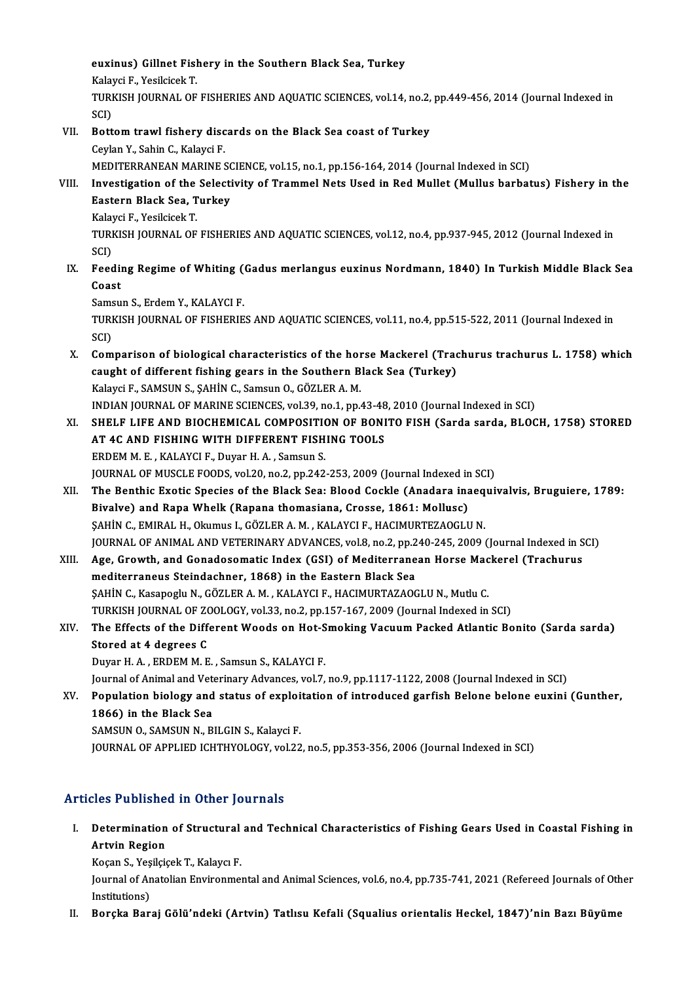euxinus) Gillnet Fishery in the Southern Black Sea, Turkey<br>Kalavgi E. Vesilsisek T euxinus) Gillnet Fisl<br>Kalayci F., Yesilcicek T.<br>TURKISH JOURNAL OF euxinus) Gillnet Fishery in the Southern Black Sea, Turkey<br>Kalayci F., Yesilcicek T.<br>TURKISH JOURNAL OF FISHERIES AND AQUATIC SCIENCES, vol.14, no.2, pp.449-456, 2014 (Journal Indexed in<br>SCD Kalay<br>TURI<br>SCI)<br>Bott TURKISH JOURNAL OF FISHERIES AND AQUATIC SCIENCES, vol.14, no.2,<br>SCI)<br>VII. Bottom trawl fishery discards on the Black Sea coast of Turkey<br>Covian V. Sabin C. Kalaysi E SCI)<br>**Bottom trawl fishery disc<br>Ceylan Y., Sahin C., Kalayci F.<br>MEDITERRANEAN MARINE S** Bottom trawl fishery discards on the Black Sea coast of Turkey<br>Ceylan Y., Sahin C., Kalayci F.<br>MEDITERRANEAN MARINE SCIENCE, vol.15, no.1, pp.156-164, 2014 (Journal Indexed in SCI)<br>Investigation of the Selectivity of Tramm Ceylan Y., Sahin C., Kalayci F.<br>MEDITERRANEAN MARINE SCIENCE, vol.15, no.1, pp.156-164, 2014 (Journal Indexed in SCI)<br>VIII. Investigation of the Selectivity of Trammel Nets Used in Red Mullet (Mullus barbatus) Fishery in t MEDITERRANEAN MARINE SO<br>Investigation of the Selecti<br>Eastern Black Sea, Turkey<br>Kalavsi E. Vosilsisek T **Investigation of the<br>Eastern Black Sea, T<br>Kalayci F., Yesilcicek T.<br>TURKISH JOURNAL OF** Eastern Black Sea, Turkey<br>Kalayci F., Yesilcicek T.<br>TURKISH JOURNAL OF FISHERIES AND AQUATIC SCIENCES, vol.12, no.4, pp.937-945, 2012 (Journal Indexed in<br>SCI) Kalayci F, Yesilcicek T. TURKISH JOURNAL OF FISHERIES AND AQUATIC SCIENCES, vol.12, no.4, pp.937-945, 2012 (Journal Indexed in<br>SCI)<br>IX. Feeding Regime of Whiting (Gadus merlangus euxinus Nordmann, 1840) In Turkish Middle Black Sea SCI)<br>Feedii<br>Coast<br><sup>Sameu</sup> Feeding Regime of Whiting (1<br>Coast<br>Samsun S., Erdem Y., KALAYCI F.<br>TURVISH JOURNAL OF FISHEPIE Coast<br>Samsun S., Erdem Y., KALAYCI F.<br>TURKISH JOURNAL OF FISHERIES AND AQUATIC SCIENCES, vol.11, no.4, pp.515-522, 2011 (Journal Indexed in<br>SCD Sams<br>TURI<br>SCI)<br>Com TURKISH JOURNAL OF FISHERIES AND AQUATIC SCIENCES, vol.11, no.4, pp.515-522, 2011 (Journal Indexed in<br>SCI)<br>X. Comparison of biological characteristics of the horse Mackerel (Trachurus trachurus L. 1758) which<br>sought of dif SCI)<br>Comparison of biological characteristics of the horse Mackerel (Trad<br>caught of different fishing gears in the Southern Black Sea (Turkey)<br>Kelavei E. SAMSUN S. SAHIN G. Samaun O. GÖZLER A.M. Comparison of biological characteristics of the hor<br>caught of different fishing gears in the Southern B<br>Kalayci F., SAMSUN S., ŞAHİN C., Samsun O., GÖZLER A. M.<br>INDIAN JOURNAL OF MARINE SCIENCES vol 30 no 1 nn . caught of different fishing gears in the Southern Black Sea (Turkey)<br>Kalayci F., SAMSUN S., ŞAHİN C., Samsun O., GÖZLER A. M.<br>INDIAN JOURNAL OF MARINE SCIENCES, vol.39, no.1, pp.43-48, 2010 (Journal Indexed in SCI) XI. SHELF LIFE AND BIOCHEMICAL COMPOSITION OF BONITO FISH (Sarda sarda, BLOCH, 1758) STORED INDIAN JOURNAL OF MARINE SCIENCES, vol.39, no.1, pp.43-48<br>SHELF LIFE AND BIOCHEMICAL COMPOSITION OF BONI<br>AT 4C AND FISHING WITH DIFFERENT FISHING TOOLS<br>EPDEM M E \_KALAYCLE\_Dwrat H\_A \_Samsun S SHELF LIFE AND BIOCHEMICAL COMPOSITION<br>AT 4C AND FISHING WITH DIFFERENT FISH<br>ERDEM M.E., KALAYCI F., Duyar H.A., Samsun S.<br>JOUPNAL OF MUSCI E EQQDS vol 20, no 2, np 342 AT 4C AND FISHING WITH DIFFERENT FISHING TOOLS<br>ERDEM M. E. , KALAYCI F., Duyar H. A. , Samsun S.<br>JOURNAL OF MUSCLE FOODS, vol.20, no.2, pp.242-253, 2009 (Journal Indexed in SCI)<br>The Benthis Exetis Spesies of the Blask See: ERDEM M. E., KALAYCI F., Duyar H. A., Samsun S.<br>JOURNAL OF MUSCLE FOODS, vol.20, no.2, pp.242-253, 2009 (Journal Indexed in SCI)<br>XII. The Benthic Exotic Species of the Black Sea: Blood Cockle (Anadara inaequivalvis, Brugui JOURNAL OF MUSCLE FOODS, vol.20, no.2, pp.242-253, 2009 (Journal Indexed in<br>The Benthic Exotic Species of the Black Sea: Blood Cockle (Anadara ina<br>Bivalve) and Rapa Whelk (Rapana thomasiana, Crosse, 1861: Mollusc)<br>SAHIN G. The Benthic Exotic Species of the Black Sea: Blood Cockle (Anadara inaeq<br>Bivalve) and Rapa Whelk (Rapana thomasiana, Crosse, 1861: Mollusc)<br>ŞAHİN C., EMIRAL H., Okumus I., GÖZLER A. M. , KALAYCI F., HACIMURTEZAOGLU N.<br>JOUP Bivalve) and Rapa Whelk (Rapana thomasiana, Crosse, 1861: Mollusc)<br>ŞAHİN C., EMIRAL H., Okumus I., GÖZLER A. M. , KALAYCI F., HACIMURTEZAOGLU N.<br>JOURNAL OF ANIMAL AND VETERINARY ADVANCES, vol.8, no.2, pp.240-245, 2009 (Jou SAHIN C., EMIRAL H., Okumus I., GÖZLER A. M. , KALAYCI F., HACIMURTEZAOGLU N.<br>JOURNAL OF ANIMAL AND VETERINARY ADVANCES, vol.8, no.2, pp.240-245, 2009 (Journal Indexed in S<br>XIII. Age, Growth, and Gonadosomatic Index (GSI) JOURNAL OF ANIMAL AND VETERINARY ADVANCES, vol.8, no.2, pp.2<br>Age, Growth, and Gonadosomatic Index (GSI) of Mediterrane<br>mediterraneus Steindachner, 1868) in the Eastern Black Sea<br>SAHIN G. Kesangslu N. GÖZLER A. M., KALAYCLE XIII. Age, Growth, and Gonadosomatic Index (GSI) of Mediterranean Horse Mackerel (Trachurus mediterraneus Steindachner, 1868) in the Eastern Black Sea<br>ŞAHİN C., Kasapoglu N., GÖZLER A. M. , KALAYCI F., HACIMURTAZAOGLU N., mediterraneus Steindachner, 1868) in the Eastern Black Sea<br>ŞAHİN C., Kasapoglu N., GÖZLER A. M. , KALAYCI F., HACIMURTAZAOGLU N., Mutlu C.<br>TURKISH JOURNAL OF ZOOLOGY, vol.33, no.2, pp.157-167, 2009 (Journal Indexed in SCI) \$AHİN C., Kasapoglu N., GÖZLER A. M. , KALAYCI F., HACIMURTAZAOGLU N., Mutlu C.<br>TURKISH JOURNAL OF ZOOLOGY, vol.33, no.2, pp.157-167, 2009 (Journal Indexed in SCI)<br>XIV. The Effects of the Different Woods on Hot-Smoking TURKISH JOURNAL OF ZOT<br>The Effects of the Diff<br>Stored at 4 degrees C The Effects of the Different Woods on Hot-S<br>Stored at 4 degrees C<br>Duyar H. A. , ERDEM M. E. , Samsun S., KALAYCI F.<br>Journal of Animal and Veterinary Advances vol.7 Stored at 4 degrees C<br>Duyar H. A. , ERDEM M. E. , Samsun S., KALAYCI F.<br>Journal of Animal and Veterinary Advances, vol.7, no.9, pp.1117-1122, 2008 (Journal Indexed in SCI) Duyar H. A. , ERDEM M. E. , Samsun S., KALAYCI F.<br>Journal of Animal and Veterinary Advances, vol.7, no.9, pp.1117-1122, 2008 (Journal Indexed in SCI)<br>XV. Population biology and status of exploitation of introduced garfish **Journal of Animal and Vet<br>Population biology and<br>1866) in the Black Sea<br>SAMSUN O SAMSUN N P** Population biology and status of exploi<br>1866) in the Black Sea<br>SAMSUN O., SAMSUN N., BILGIN S., Kalayci F.<br>JOUPNAL OF APPLIED JCHTHYOLOCY vol 22 1866) in the Black Sea<br>SAMSUN 0., SAMSUN N., BILGIN S., Kalayci F.<br>JOURNAL OF APPLIED ICHTHYOLOGY, vol.22, no.5, pp.353-356, 2006 (Journal Indexed in SCI) Articles Published in Other Journals

rticles Published in Other Journals<br>I. Determination of Structural and Technical Characteristics of Fishing Gears Used in Coastal Fishing in<br>Artyin Begian Mes 1 abhance<br>Determination<br>Artvin Region<br>Kosan S. Vesilai Determination of Structural<br>Artvin Region<br>Koçan S., Yeşilçiçek T., Kalaycı F.<br>Journal of Anatolian Environmer

Artvin Region<br>Koçan S., Yeşilçiçek T., Kalaycı F.<br>Journal of Anatolian Environmental and Animal Sciences, vol.6, no.4, pp.735-741, 2021 (Refereed Journals of Other Koçan S., Yeş<br>Journal of Ar<br>Institutions)<br>Boneka Bon Journal of Anatolian Environmental and Animal Sciences, vol.6, no.4, pp.735-741, 2021 (Refereed Journals of Oth<br>Institutions)<br>II. Borçka Baraj Gölü'ndeki (Artvin) Tatlısu Kefali (Squalius orientalis Heckel, 1847)'nin Ba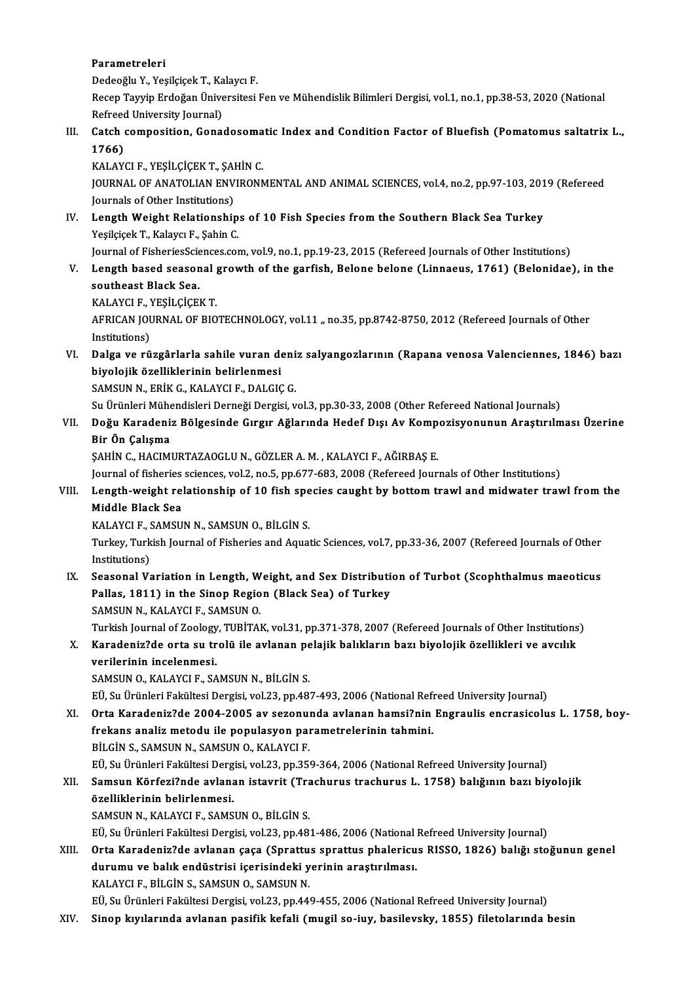#### Parametreleri

**Parametreleri<br>Dedeoğlu Y., Yeşilçiçek T., Kalaycı F.<br>Besen Tayrin Endeğan Üniversitesi** 

Recep Tayyip Erdoğan Üniversitesi Fen ve Mühendislik Bilimleri Dergisi, vol.1, no.1, pp.38-53, 2020 (National<br>Refreed University Journal) Dedeoğlu Y., Yeşilçiçek T., Ka<br>Recep Tayyip Erdoğan Ünive<br>Refreed University Journal)<br>Catab camposition, Canas Recep Tayyip Erdoğan Üniversitesi Fen ve Mühendislik Bilimleri Dergisi, vol.1, no.1, pp.38-53, 2020 (National<br>Refreed University Journal)<br>III. Catch composition, Gonadosomatic Index and Condition Factor of Bluefish (Pomato

Refreed<br>Catch<br>1766)<br>KALAY Catch composition, Gonadosoma<br>1766)<br>KALAYCI F., YEŞİLÇİÇEK T., ŞAHİN C.<br>JOUPNAL OF ANATOLIAN ENVIRONA

1766)<br>KALAYCI F., YEŞİLÇİÇEK T., ŞAHİN C.<br>JOURNAL OF ANATOLIAN ENVIRONMENTAL AND ANIMAL SCIENCES, vol.4, no.2, pp.97-103, 2019 (Refereed<br>Journals of Other Institutions) KALAYCI F., YEŞİLÇİÇEK T., ŞAI<br>JOURNAL OF ANATOLIAN ENV<br>Journals of Other Institutions)<br>Longth Weight Belationshir JOURNAL OF ANATOLIAN ENVIRONMENTAL AND ANIMAL SCIENCES, vol.4, no.2, pp.97-103, 201<br>Journals of Other Institutions)<br>IV. Length Weight Relationships of 10 Fish Species from the Southern Black Sea Turkey<br>Vesilated T. Kelaya

Journals of Other Institutions)<br>Length Weight Relationship<br>Yeşilçiçek T., Kalaycı F., Şahin C.<br>Journal of EisboriesScionses son Length Weight Relationships of 10 Fish Species from the Southern Black Sea Turkey<br>Yeşilçiçek T., Kalaycı F., Şahin C.<br>Journal of FisheriesSciences.com, vol.9, no.1, pp.19-23, 2015 (Refereed Journals of Other Institutions)<br>

- Yeşilçiçek T., Kalaycı F., Şahin C.<br>Journal of FisheriesSciences.com, vol.9, no.1, pp.19-23, 2015 (Refereed Journals of Other Institutions)<br>V. Length based seasonal growth of the garfish, Belone belone (Linnaeus, 1761) **Journal of FisheriesScie<br>Length based seasor<br>southeast Black Sea.<br>KALAVCLE, VESU CICE** Length based seasonal<br>southeast Black Sea.<br>KALAYCI F., YEŞİLÇİÇEK T.<br>AERICAN JOUPNAL OF PIO
	- KALAYCI F., YESİLCİCEK T.

southeast Black Sea.<br>KALAYCI F., YEŞİLÇİÇEK T.<br>AFRICAN JOURNAL OF BIOTECHNOLOGY, vol.11 " no.35, pp.8742-8750, 2012 (Refereed Journals of Other<br>Institutions) AFRICAN JOURNAL OF BIOTECHNOLOGY, vol.11 " no.35, pp.8742-8750, 2012 (Refereed Journals of Other<br>Institutions)<br>VI. Dalga ve rüzgârlarla sahile vuran deniz salyangozlarının (Rapana venosa Valenciennes, 1846) bazı<br>biyolojik

Institutions)<br>Dalga ve rüzgârlarla sahile vuran de<br>biyolojik özelliklerinin belirlenmesi<br>SAMSUN N. ERİK C. KALAYCLE, DALCIC Dalga ve rüzgârlarla sahile vuran deni<br>biyolojik özelliklerinin belirlenmesi<br>SAMSUN N., ERİK G., KALAYCI F., DALGIÇ G.<br>Su Ürünleri Mühandisleri Denneği Dergişi v biyolojik özelliklerinin belirlenmesi<br>SAMSUN N., ERİK G., KALAYCI F., DALGIÇ G.<br>Su Ürünleri Mühendisleri Derneği Dergisi, vol.3, pp.30-33, 2008 (Other Refereed National Journals)<br>Doğu Karadoniz Bölgesinde Cırgır Ağlarında

SAMSUN N., ERİK G., KALAYCI F., DALGIÇ G.<br>Su Ürünleri Mühendisleri Derneği Dergisi, vol.3, pp.30-33, 2008 (Other Refereed National Journals)<br>VII. Doğu Karadeniz Bölgesinde Gırgır Ağlarında Hedef Dışı Av Kompozisyonunun Su Ürünleri Mühe<br><mark>Doğu Karadeni:</mark><br>Bir Ön Çalışma<br>sayin çayaçımı Doğu Karadeniz Bölgesinde Gırgır Ağlarında Hedef Dışı Av Komp<br>Bir Ön Çalışma<br>ŞAHİN C., HACIMURTAZAOGLU N., GÖZLER A. M. , KALAYCI F., AĞIRBAŞ E.<br>Journal of fisheries sciences vol 3 no 5 nn 677 682 2008 (Pefereed Jour Bir Ön Çalışma<br>ŞAHİN C., HACIMURTAZAOGLU N., GÖZLER A. M. , KALAYCI F., AĞIRBAŞ E.<br>Journal of fisheries sciences, vol.2, no.5, pp.677-683, 2008 (Refereed Journals of Other Institutions)<br>Langth weight relationship of 10 fis

# SAHIN C., HACIMURTAZAOGLU N., GÖZLER A. M. , KALAYCI F., AĞIRBAŞ E.<br>Journal of fisheries sciences, vol.2, no.5, pp.677-683, 2008 (Refereed Journals of Other Institutions)<br>VIII. Length-weight relationship of 10 fish species **Journal of fisheries<br>Length-weight re<br>Middle Black Sea<br>KALAYCLE, SAMSU** Length-weight relationship of 10 fish spe<br>Middle Black Sea<br>KALAYCI F., SAMSUN N., SAMSUN 0., BİLGİN S.<br>Turkay Turkich Journal of Fisharias and Agust

Middle Black Sea<br>KALAYCI F., SAMSUN N., SAMSUN O., BİLGİN S.<br>Turkey, Turkish Journal of Fisheries and Aquatic Sciences, vol.7, pp.33-36, 2007 (Refereed Journals of Other<br>Institutione) KALAYCI F., S<br>Turkey, Turk<br>Institutions)<br>Seesenal Vs Turkey, Turkish Journal of Fisheries and Aquatic Sciences, vol.7, pp.33-36, 2007 (Refereed Journals of Other<br>Institutions)<br>IX. Seasonal Variation in Length, Weight, and Sex Distribution of Turbot (Scophthalmus maeoticus<br>Re

Institutions)<br>Seasonal Variation in Length, Weight, and Sex Distributi<br>Pallas, 1811) in the Sinop Region (Black Sea) of Turkey<br>SAMSUN N. KALAYCLE, SAMSUN O Seasonal Variation in Length, W<br>Pallas, 1811) in the Sinop Regio<br>SAMSUN N., KALAYCI F., SAMSUN 0.<br>Turkish Journal of Zoology, TUPiTAl Pallas, 1811) in the Sinop Region (Black Sea) of Turkey<br>SAMSUN N., KALAYCI F., SAMSUN O.<br>Turkish Journal of Zoology, TUBİTAK, vol.31, pp.371-378, 2007 (Refereed Journals of Other Institutions)<br>Kanadaniz?de erte eu trelü il

SAMSUN N., KALAYCI F., SAMSUN O.<br>Turkish Journal of Zoology, TUBİTAK, vol.31, pp.371-378, 2007 (Refereed Journals of Other Institutions<br>X. Karadeniz?de orta su trolü ile avlanan pelajik balıkların bazı biyolojik özelli Turkish Journal of Zoology<br>Karadeniz?de orta su tr<br>verilerinin incelenmesi.<br>SAMSUN O. KAJ AVGUE SA X. Karadeniz?de orta su trolü ile avlanan pelajik balıkların bazı biyolojik özellikleri ve avcılık verilerinin incelenmesi.<br>SAMSUN 0., KALAYCI F., SAMSUN N., BİLGİN S.

verilerinin incelenmesi.<br>SAMSUN 0., KALAYCI F., SAMSUN N., BİLGİN S.<br>EÜ, Su Ürünleri Fakültesi Dergisi, vol.23, pp.487-493, 2006 (National Refreed University Journal)<br>Orta Karadeniz?də 2004, 2005 ay serenunda aylanan bəmsi

XI. Orta Karadeniz?de 2004-2005 av sezonunda avlanan hamsi?nin Engraulis encrasicolus L. 1758, boy-EÜ, Su Ürünleri Fakültesi Dergisi, vol.23, pp.487-493, 2006 (National Refi<br>Orta Karadeniz?de 2004-2005 av sezonunda avlanan hamsi?nin<br>frekans analiz metodu ile populasyon parametrelerinin tahmini.<br>PU CN S. SAMSUN N. SAMSUN BİLGİN S., SAMSUN N., SAMSUN O., KALAYCI F. frekans analiz metodu ile populasyon parametrelerinin tahmini.<br>BİLGİN S., SAMSUN N., SAMSUN O., KALAYCI F.<br>EÜ, Su Ürünleri Fakültesi Dergisi, vol.23, pp.359-364, 2006 (National Refreed University Journal)<br>Sameun Körfegi?nd

## BİLGİN S., SAMSUN N., SAMSUN O., KALAYCI F.<br>EÜ, Su Ürünleri Fakültesi Dergisi, vol.23, pp.359-364, 2006 (National Refreed University Journal)<br>XII. Samsun Körfezi?nde avlanan istavrit (Trachurus trachurus L. 1758) balığ EÜ, Su Ürünleri Fakültesi Derg<br>Samsun Körfezi?nde avlana<br>özelliklerinin belirlenmesi.<br>SAMSUN N. KALAVCLE, SAMS Samsun Körfezi?nde avlanan istavrit (Tra<br>özelliklerinin belirlenmesi.<br>SAMSUN N., KALAYCI F., SAMSUN 0., BİLGİN S.<br>FÜ Su Ürünleri Fekültesi Dergisi vel 22. np 42. özelliklerinin belirlenmesi.<br>SAMSUN N., KALAYCI F., SAMSUN O., BİLGİN S.<br>EÜ, Su Ürünleri Fakültesi Dergisi, vol.23, pp.481-486, 2006 (National Refreed University Journal)

XIII. Orta Karadeniz?de avlanan çaça (Sprattus sprattus phalericus RISSO, 1826) balığı stoğunun genel EÜ, Su Ürünleri Fakültesi Dergisi, vol.23, pp.481-486, 2006 (National I<br>Orta Karadeniz?de avlanan çaça (Sprattus sprattus phalericu<br>durumu ve balık endüstrisi içerisindeki yerinin araştırılması.<br>KALAYCUE, PÜLCİN S. SAMSIN Orta Karadeniz?de avlanan çaça (Sprattu<br>durumu ve balık endüstrisi içerisindeki y<br>KALAYCI F., BİLGİN S., SAMSUN 0., SAMSUN N.<br>FÜ S., Ününleri Fekültesi Dergisi vel 22. np.44 KALAYCI F., BİLGİN S., SAMSUN O., SAMSUN N.<br>EÜ, Su Ürünleri Fakültesi Dergisi, vol.23, pp.449-455, 2006 (National Refreed University Journal)

XIV. Sinop kıyılarında avlanan pasifik kefali (mugil so-iuy, basilevsky, 1855) filetolarında besin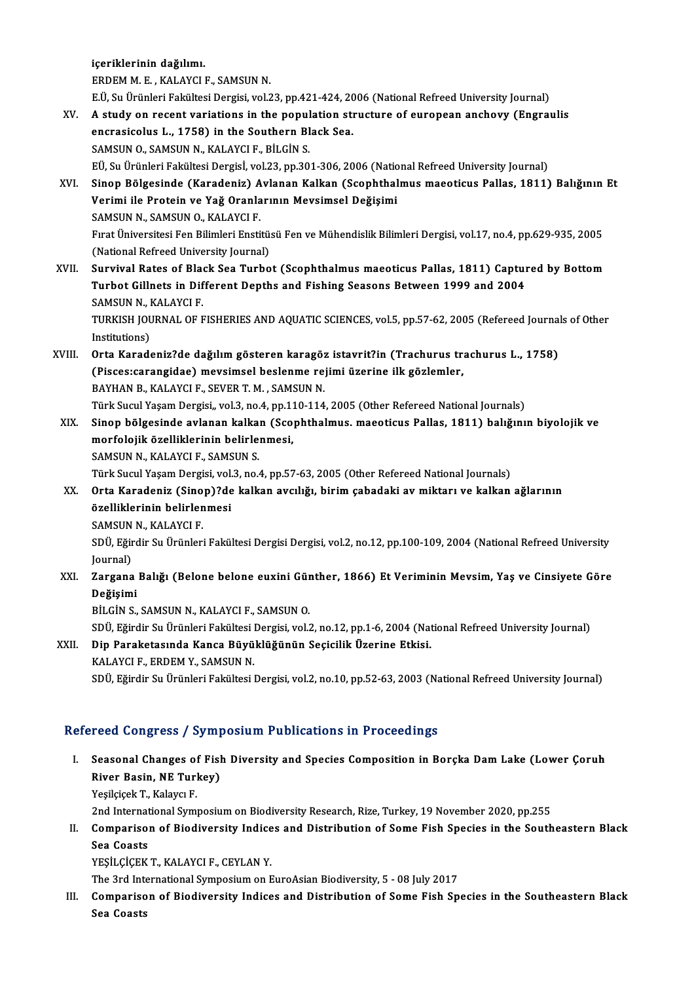içeriklerinin dağılımı.

ERDEM M. E., KALAYCI F., SAMSUN N.

E.Ü,SuÜrünleriFakültesiDergisi,vol.23,pp.421-424,2006 (NationalRefreedUniversity Journal)

- ERDEM M. E. , KALAYCI F., SAMSUN N.<br>E.Ü, Su Ürünleri Fakültesi Dergisi, vol.23, pp.421-424, 2006 (National Refreed University Journal)<br>XV. A study on recent variations in the population structure of european anchovy (E E.Ü, Su Ürünleri Fakültesi Dergisi, vol.23, pp.421-424, 20<br>A study on recent variations in the population str<br>encrasicolus L., 1758) in the Southern Black Sea.<br>SAMSUN O. SAMSUN N. KALAYCUE, PULCIN S A study on recent variations in the popul<br>encrasicolus L., 1758) in the Southern Bl<br>SAMSUN O., SAMSUN N., KALAYCI F., BİLGİN S.<br>FÜ Su Ürünleri Fekültesi Dergisl vel 22 nn 20 encrasicolus L., 1758) in the Southern Black Sea.<br>SAMSUN O., SAMSUN N., KALAYCI F., BİLGİN S.<br>EÜ, Su Ürünleri Fakültesi Dergisİ, vol.23, pp.301-306, 2006 (National Refreed University Journal)<br>Sinon Bölgesinde (Karadenia) A SAMSUN O., SAMSUN N., KALAYCI F., BİLGİN S.<br>EÜ, Su Ürünleri Fakültesi Dergisİ, vol.23, pp.301-306, 2006 (National Refreed University Journal)<br>XVI. Sinop Bölgesinde (Karadeniz) Avlanan Kalkan (Scophthalmus maeoticus Pal
- EÜ, Su Ürünleri Fakültesi Dergisİ, vol.23, pp.301-306, 2006 (Natio<br>Sinop Bölgesinde (Karadeniz) Avlanan Kalkan (Scophthal<br>Verimi ile Protein ve Yağ Oranlarının Mevsimsel Değişimi<br>SAMSUN N. SAMSUN O. KALAYÇER Sinop Bölgesinde (Karadeniz) A<br>Verimi ile Protein ve Yağ Oranla<br>SAMSUN N., SAMSUN O., KALAYCI F.<br>Evet Üniversitesi Fen Bilimleri Ensti Verimi ile Protein ve Yağ Oranlarının Mevsimsel Değişimi<br>SAMSUN N., SAMSUN O., KALAYCI F.<br>Fırat Üniversitesi Fen Bilimleri Enstitüsü Fen ve Mühendislik Bilimleri Dergisi, vol.17, no.4, pp.629-935, 2005<br>(National Befreed Un

SAMSUN N., SAMSUN O., KALAYCI F.<br>Fırat Üniversitesi Fen Bilimleri Enstitü:<br>(National Refreed University Journal)<br>Survival Bates of Blask See Turbe (National Refreed University Journal)<br>XVII. Survival Rates of Black Sea Turbot (Scophthalmus maeoticus Pallas, 1811) Captured by Bottom

(National Refreed University Journal)<br>Survival Rates of Black Sea Turbot (Scophthalmus maeoticus Pallas, 1811) Captul<br>Turbot Gillnets in Different Depths and Fishing Seasons Between 1999 and 2004<br>SAMSUN N. KALAYCLE Survival Rates of Blaq<br>Turbot Gillnets in Dif<br>SAMSUN N., KALAYCI F.<br>TURVISH JOURNAL OF E Turbot Gillnets in Different Depths and Fishing Seasons Between 1999 and 2004<br>SAMSUN N., KALAYCI F.<br>TURKISH JOURNAL OF FISHERIES AND AQUATIC SCIENCES, vol.5, pp.57-62, 2005 (Refereed Journals of Other<br>Institutions)

SAMSUN N., I<br>TURKISH JOU<br>Institutions)<br>Orte Kanade TURKISH JOURNAL OF FISHERIES AND AQUATIC SCIENCES, vol.5, pp.57-62, 2005 (Refereed Journal<br>Institutions)<br>XVIII. Orta Karadeniz?de dağılım gösteren karagöz istavrit?in (Trachurus trachurus L., 1758)

- Institutions)<br>Orta Karadeniz?de dağılım gösteren karagöz istavrit?in (Trachurus tr<br>(Pisces:carangidae) mevsimsel beslenme rejimi üzerine ilk gözlemler,<br>RAYHAN R. KALAYCLE, SEVER T.M., SAMSUN N Orta Karadeniz?de dağılım gösteren karagöz<br>(Pisces:carangidae) mevsimsel beslenme rej<br>BAYHAN B., KALAYCI F., SEVER T. M. , SAMSUN N.<br>Türk Sugul Yasam Dergisi, val 3, na 4, nn 110, 114 (Pisces:carangidae) mevsimsel beslenme rejimi üzerine ilk gözlemler,<br>BAYHAN B., KALAYCI F., SEVER T. M. , SAMSUN N.<br>Türk Sucul Yaşam Dergisi,, vol.3, no.4, pp.110-114, 2005 (Other Refereed National Journals)<br>Sinon bölgesin
- BAYHAN B., KALAYCI F., SEVER T. M. , SAMSUN N.<br>Türk Sucul Yaşam Dergisi,, vol.3, no.4, pp.110-114, 2005 (Other Refereed National Journals)<br>XIX. Sinop bölgesinde avlanan kalkan (Scophthalmus. maeoticus Pallas, 1811) bal Türk Sucul Yaşam Dergisi,, vol.3, no.4, pp.11<br>Sinop bölgesinde avlanan kalkan (Sco<br>morfolojik özelliklerinin belirlenmesi,<br>SAMSUN N. KALAVCLE, SAMSUN S Sinop bölgesinde avlanan kalka:<br>morfolojik özelliklerinin belirle:<br>SAMSUN N., KALAYCI F., SAMSUN S.<br>Türk Sugul Yasam Dargisi val 3, no. <mark>morfolojik özelliklerinin belirlenmesi,</mark><br>SAMSUN N., KALAYCI F., SAMSUN S.<br>Türk Sucul Yaşam Dergisi, vol.3, no.4, pp.57-63, 2005 (Other Refereed National Journals)<br>Orta Karadaniz (Sinan)?da kalkan avalığı, birim gabadaki a

SAMSUN N., KALAYCI F., SAMSUN S.<br>Türk Sucul Yaşam Dergisi, vol.3, no.4, pp.57-63, 2005 (Other Refereed National Journals)<br>XX. Orta Karadeniz (Sinop)?de kalkan avcılığı, birim çabadaki av miktarı ve kalkan ağlarının<br>Öre Türk Sucul Yaşam Dergisi, vol.<br>Orta Karadeniz (Sinop)?de<br>özelliklerinin belirlenmesi<br>SAMSUN N. KALAVCLE Orta Karadeniz (Sino<br>özelliklerinin belirlen<br>SAMSUN N., KALAYCI F.<br>SDÜ Eğirdir Su Ürünleri

özelliklerinin belirlenmesi<br>SAMSUN N., KALAYCI F.<br>SDÜ, Eğirdir Su Ürünleri Fakültesi Dergisi Dergisi, vol.2, no.12, pp.100-109, 2004 (National Refreed University SAMSUN<br>SDÜ, Eğir<br>Journal)<br>Zargana SDÜ, Eğirdir Su Ürünleri Fakültesi Dergisi Dergisi, vol.2, no.12, pp.100-109, 2004 (National Refreed University<br>Journal)<br>XXI. Zargana Balığı (Belone belone euxini Günther, 1866) Et Veriminin Mevsim, Yaş ve Cinsiyete Gö

Journal)<br>Zargana<br>Değişimi<br>P<sup>it Cin S</sup> Zargana Balığı (Belone belone euxini Gür<br>Değişimi<br>BİLGİN S., SAMSUN N., KALAYCI F., SAMSUN 0.<br>SDÜ Fğirdir Su Ürünleri Fekültesi Dergisi vel De<mark>ğişimi</mark><br>BİLGİN S., SAMSUN N., KALAYCI F., SAMSUN O.<br>SDÜ, Eğirdir Su Ürünleri Fakültesi Dergisi, vol.2, no.12, pp.1-6, 2004 (National Refreed University Journal)<br>Din Borakstasında Kansa Büyüklüğünün Sosisilik Üserine Etk

SDÜ, Eğirdir Su Ürünleri Fakültesi l<br>Dip Paraketasında Kanca Büyü<br>KALAYCI F., ERDEM Y., SAMSUN N.<br>SDÜ, Eğirdir Su Ürünleri Fakültesi l

BİLGİN S., SAMSUN N., KALAYCI F., SAMSUN O.<br>SDÜ, Eğirdir Su Ürünleri Fakültesi Dergisi, vol.2, no.12, pp.1-6, 2004 (Nat<br>XXII. Dip Paraketasında Kanca Büyüklüğünün Seçicilik Üzerine Etkisi.<br>KALAYCI F., ERDEM Y., SAMSUN N.

SDÜ, Eğirdir Su Ürünleri Fakültesi Dergisi, vol.2, no.10, pp.52-63, 2003 (National Refreed University Journal)

## Refereed Congress / Symposium Publications in Proceedings

efereed Congress / Symposium Publications in Proceedings<br>I. Seasonal Changes of Fish Diversity and Species Composition in Borçka Dam Lake (Lower Çoruh<br>River Pesin, NE Turkey) **River Basin, NE Turkey)**<br>River Basin, NE Turkey)<br>Nesligesk T. Kelaya E Seasonal Changes of<br>River Basin, NE Turl<br>Yeşilçiçek T., Kalaycı F.<br>2nd International Sumi Ri<mark>ver Basin, NE Turkey)</mark><br>Yeşilçiçek T., Kalaycı F.<br>2nd International Symposium on Biodiversity Research, Rize, Turkey, 19 November 2020, pp.255<br>Composison of Biodiversity Indiaes and Distribution of Some Eish Spesies in t

Yeşilçiçek T., Kalaycı F.<br>2nd International Symposium on Biodiversity Research, Rize, Turkey, 19 November 2020, pp.255<br>II. Comparison of Biodiversity Indices and Distribution of Some Fish Species in the Southeastern Bl 2nd Internat<br>Comparison<br>Sea Coasts<br>VESU CICER Comparison of Biodiversity Indice<br>Sea Coasts<br>YEŞİLÇİÇEK T., KALAYCI F., CEYLAN Y.<br>The 2rd International Sumpesium on E Sea Coasts<br>YEŞİLÇİÇEK T., KALAYCI F., CEYLAN Y.<br>The 3rd International Symposium on EuroAsian Biodiversity, 5 - 08 July 2017<br>Companison of Biodiversity Indises and Distribution of Some Eish Sp

YEŞİLÇİÇEK T., KALAYCI F., CEYLAN Y.<br>The 3rd International Symposium on EuroAsian Biodiversity, 5 - 08 July 2017<br>III. Comparison of Biodiversity Indices and Distribution of Some Fish Species in the Southeastern Black<br>S The 3rd Inte<br><mark>Compariso</mark><br>Sea Coasts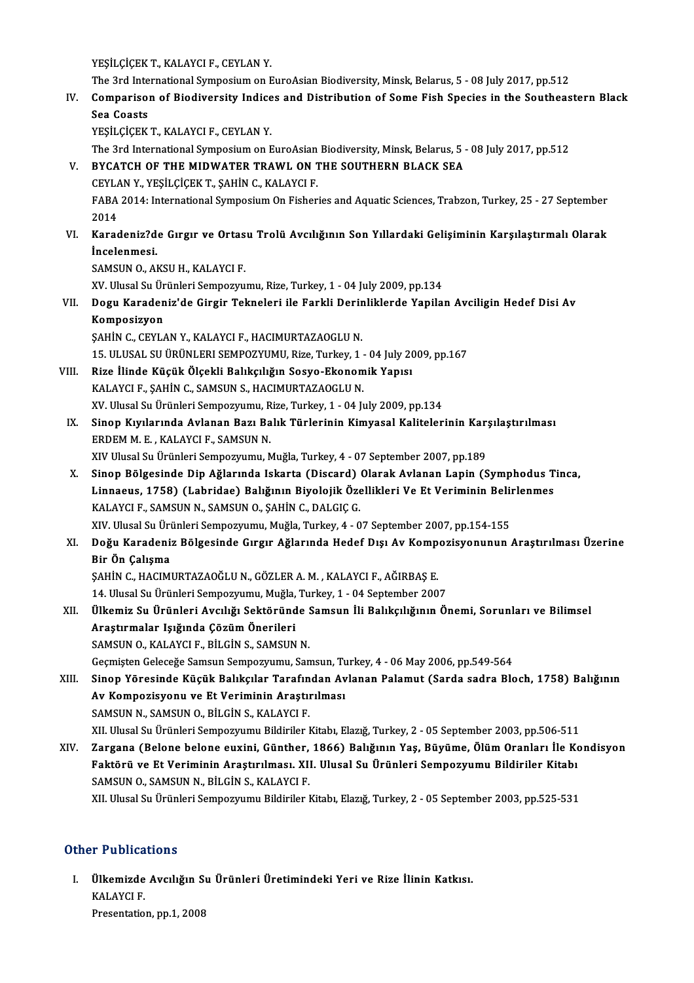YEŞİLÇİÇEK T., KALAYCI F., CEYLAN Y.

The 3rd International Symposium on EuroAsian Biodiversity, Minsk, Belarus, 5 - 08 July 2017, pp.512

YEŞİLÇİÇEK T., KALAYCI F., CEYLAN Y.<br>The 3rd International Symposium on EuroAsian Biodiversity, Minsk, Belarus, 5 - 08 July 2017, pp.512<br>IV. Comparison of Biodiversity Indices and Distribution of Some Fish Species in t The 3rd Inte<br>Comparison<br>Sea Coasts<br>VESU CICER Comparison of Biodiversity Indice<br>Sea Coasts<br>YEŞİLÇİÇEK T., KALAYCI F., CEYLAN Y.<br>The 2rd International Supposium on E

Sea Coasts<br>YEŞİLÇİÇEK T., KALAYCI F., CEYLAN Y.<br>The 3rd International Symposium on EuroAsian Biodiversity, Minsk, Belarus, 5 - 08 July 2017, pp.512

# YEŞİLÇİÇEK T., KALAYCI F., CEYLAN Y.<br>The 3rd International Symposium on EuroAsian Biodiversity, Minsk, Belarus, 5<br>V. BYCATCH OF THE MIDWATER TRAWL ON THE SOUTHERN BLACK SEA<br>CEVLAN V. VESLI CİCEK T. SAHİN C. KALAYCLE The 3rd International Symposium on EuroAsian<br>**BYCATCH OF THE MIDWATER TRAWL ON 1**<br>CEYLAN Y., YEŞİLÇİÇEK T., ŞAHİN C., KALAYCI F.<br>FARA 2014. International Symposium On Fisher

BYCATCH OF THE MIDWATER TRAWL ON THE SOUTHERN BLACK SEA<br>CEYLAN Y., YEŞİLÇİÇEK T., ŞAHİN C., KALAYCI F.<br>FABA 2014: International Symposium On Fisheries and Aquatic Sciences, Trabzon, Turkey, 25 - 27 September<br>2014 CEYLA<br>FABA<br>2014 FABA 2014: International Symposium On Fisheries and Aquatic Sciences, Trabzon, Turkey, 25 - 27 September<br>2014<br>VI. Karadeniz?de Gırgır ve Ortasu Trolü Avcılığının Son Yıllardaki Gelişiminin Karşılaştırmalı Olarak<br>İncelenmes

# 2014<br>Karadeniz?d<br>İncelenmesi.<br>SAMSUN O. Al Karadeniz?de Gırgır ve Ortas<br>İncelenmesi.<br>SAMSUN 0., AKSU H., KALAYCI F.<br>YV. Ulucel Su Ürünleri Semnerray İncelenmesi.<br>SAMSUN 0., AKSU H., KALAYCI F.<br>XV. Ulusal Su Ürünleri Sempozyumu, Rize, Turkey, 1 - 04 July 2009, pp.134<br>Dogu Kanadanir'de Cingir Teknolori ile Farkli Dorinliklarde Yanile:

## SAMSUN 0., AKSU H., KALAYCI F.<br>XV. Ulusal Su Ürünleri Sempozyumu, Rize, Turkey, 1 - 04 July 2009, pp.134<br>VII. Dogu Karadeniz'de Girgir Tekneleri ile Farkli Derinliklerde Yapilan Avciligin Hedef Disi Av<br>Komposisuon XV. Ulusal Su Ür<br><mark>Dogu Karaden</mark><br>Komposizyon<br>SAH<sup>iN C. CEVL /</sup> Dogu Karadeniz'de Girgir Tekneleri ile Farkli Derir<br>Komposizyon<br>ŞAHİN C., CEYLAN Y., KALAYCI F., HACIMURTAZAOGLU N.<br>15. HUISAL SU ÜPÜNI EPI SEMPOZYUMU Bire Turkay 1 Komposizyon<br>ŞAHİN C., CEYLAN Y., KALAYCI F., HACIMURTAZAOGLU N.<br>15. ULUSAL SU ÜRÜNLERI SEMPOZYUMU, Rize, Turkey, 1 - 04 July 2009, pp.167

VIII. Rize İlinde Küçük Ölçekli Balıkçılığın Sosyo-Ekonomik Yapısı KALAYCI F., ŞAHİN C., SAMSUN S., HACIMURTAZAOGLU N. Rize İlinde Küçük Ölçekli Balıkçılığın Sosyo-Ekonomik Yapısı<br>KALAYCI F., ŞAHİN C., SAMSUN S., HACIMURTAZAOGLU N.<br>XV. Ulusal Su Ürünleri Sempozyumu, Rize, Turkey, 1 - 04 July 2009, pp.134<br>Sinon Kurlarında Aylanan Bazı Balık

IX. Sinop Kıyılarında Avlanan Bazı Balık Türlerinin Kimyasal Kalitelerinin Karşılaştırılması XV. Ulusal Su Ürünleri Sempozyumu, R<br>Sinop Kıyılarında Avlanan Bazı Ba<br>ERDEM M. E. , KALAYCI F., SAMSUN N.<br>YIV Ulusal Su Ürünleri Sempozzumu, A

XIV Ulusal Su Ürünleri Sempozyumu, Muğla, Turkey, 4 - 07 September 2007, pp.189

X. Sinop Bölgesinde Dip Ağlarında Iskarta (Discard) Olarak Avlanan Lapin (Symphodus Tinca, XIV Ulusal Su Ürünleri Sempozyumu, Muğla, Turkey, 4 - 07 September 2007, pp.189<br>Sinop Bölgesinde Dip Ağlarında Iskarta (Discard) Olarak Avlanan Lapin (Symphodus T<br>Linnaeus, 1758) (Labridae) Balığının Biyolojik Özellikleri Sinop Bölgesinde Dip Ağlarında Iskarta (Discard)<br>Linnaeus, 1758) (Labridae) Balığının Biyolojik Öze<br>KALAYCI F., SAMSUN N., SAMSUN O., ŞAHİN C., DALGIÇ G.<br>YIV Hlugal Sı Ürünleri Samnazınımı Muğla Turkay 4., Q Linnaeus, 1758) (Labridae) Balığının Biyolojik Özellikleri Ve Et Veriminin Belii<br>KALAYCI F., SAMSUN N., SAMSUN O., ŞAHİN C., DALGIÇ G.<br>XIV. Ulusal Su Ürünleri Sempozyumu, Muğla, Turkey, 4 - 07 September 2007, pp.154-155<br>Do

## KALAYCI F., SAMSUN N., SAMSUN O., ŞAHİN C., DALGIÇ G.<br>XIV. Ulusal Su Ürünleri Sempozyumu, Muğla, Turkey, 4 - 07 September 2007, pp.154-155<br>XI. Doğu Karadeniz Bölgesinde Gırgır Ağlarında Hedef Dışı Av Kompozisyonunun Ar XIV. Ulusal Su Üri<br>Doğu Karadeni:<br>Bir Ön Çalışma<br>SAHİN G. HACIMI Doğu Karadeniz Bölgesinde Gırgır Ağlarında Hedef Dışı Av Komp<br>Bir Ön Çalışma<br>ŞAHİN C., HACIMURTAZAOĞLU N., GÖZLER A. M. , KALAYCI F., AĞIRBAŞ E.<br>14 Hlucel Su Ürünleri Semnerunun, Muğla Turkey 1 - 04 Sentember 200 Bir Ön Çalışma<br>ŞAHİN C., HACIMURTAZAOĞLU N., GÖZLER A. M. , KALAYCI F., AĞIRBAŞ E.<br>14. Ulusal Su Ürünleri Sempozyumu, Muğla, Turkey, 1 - 04 September 2007<br>Ülkemiz Su Ürünleri Avalığı Sektönünde Semaun İli Balıkalığının Öl

ŞAHİN C., HACIMURTAZAOĞLU N., GÖZLER A. M. , KALAYCI F., AĞIRBAŞ E.<br>14. Ulusal Su Ürünleri Sempozyumu, Muğla, Turkey, 1 - 04 September 2007<br>XII. Ülkemiz Su Ürünleri Avcılığı Sektöründe Samsun İli Balıkçılığının Önemi, 14. Ulusal Su Ürünleri Sempozyumu, Muğla,<br>Ülkemiz Su Ürünleri Avcılığı Sektöründ<br>Araştırmalar Işığında Çözüm Önerileri<br>SAMSUN O, KALAYÇUE, BU ÇİN S, SAMSUN

SAMSUN O., KALAYCI F., BİLGİN S., SAMSUN N.

Geçmişten Geleceğe Samsun Sempozyumu, Samsun, Turkey, 4 - 06 May 2006, pp.549-564

XIII. Sinop Yöresinde Küçük Balıkçılar Tarafından Avlanan Palamut (Sarda sadra Bloch, 1758) Balığının Geçmişten Geleceğe Samsun Sempozyumu, Samsun, Tu<br>Sinop Yöresinde Küçük Balıkçılar Tarafından Av<br>Av Kompozisyonu ve Et Veriminin Araştırılması<br>SAMSUN N. SAMSUN O. BU CİN S. KALAYÇI E Sinop Yöresinde Küçük Balıkçılar Tarafın<br>Av Kompozisyonu ve Et Veriminin Araştıı<br>SAMSUN N., SAMSUN 0., BİLGİN S., KALAYCI F.<br>YU Ulucal Su Ürünleri Semperununu Bildiriler I

SAMSUN N., SAMSUN O., BİLGİN S., KALAYCI F.<br>XII. Ulusal Su Ürünleri Sempozyumu Bildiriler Kitabı, Elazığ, Turkey, 2 - 05 September 2003, pp.506-511

SAMSUN N., SAMSUN O., BİLGİN S., KALAYCI F.<br>XII. Ulusal Su Ürünleri Sempozyumu Bildiriler Kitabı, Elazığ, Turkey, 2 - 05 September 2003, pp.506-511<br>XIV. Zargana (Belone belone euxini, Günther, 1866) Balığının Yaş, Büyü XII. Ulusal Su Ürünleri Sempozyumu Bildiriler Kitabı, Elazığ, Turkey, 2 - 05 September 2003, pp.506-511<br>Zargana (Belone belone euxini, Günther, 1866) Balığının Yaş, Büyüme, Ölüm Oranları İle Ko<br>Faktörü ve Et Veriminin Araş Zargana (Belone belone euxini, Günther,<br>Faktörü ve Et Veriminin Araştırılması. XII<br>SAMSUN 0., SAMSUN N., BİLGİN S., KALAYCI F.<br>YU Ulucel Su Ürünleri Semnerrumu Bildiriler I Faktörü ve Et Veriminin Araştırılması. XII. Ulusal Su Ürünleri Sempozyumu Bildiriler Kitabı<br>SAMSUN O., SAMSUN N., BİLGİN S., KALAYCI F.<br>XII. Ulusal Su Ürünleri Sempozyumu Bildiriler Kitabı, Elazığ, Turkey, 2 - 05 September

## Other Publications

ther Publications<br>I. Ülkemizde Avcılığın Su Ürünleri Üretimindeki Yeri ve Rize İlinin Katkısı.<br>KALAYÇUE T<br>Tikemizde<br>KALAYCI F.<br>Presentatio Ülkemizde Avcılığın S<br>KALAYCI F.<br>Presentation, pp.1, 2008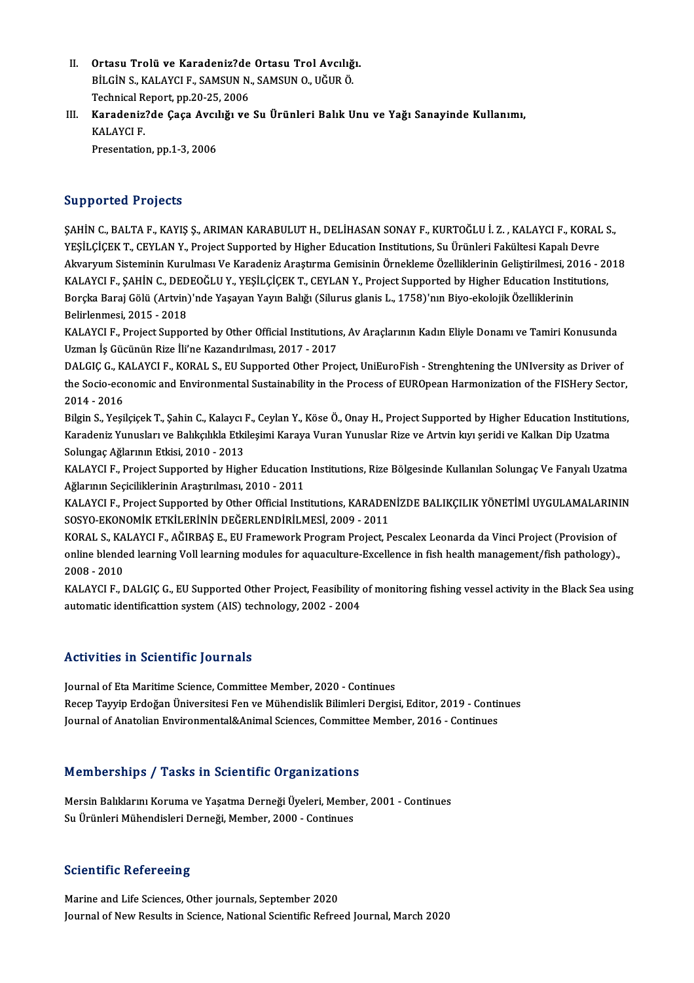- II. Ortasu Trolü ve Karadeniz?de Ortasu Trol Avcılığı.<br>Pilçin S. KALAVÇLE, SAMSUN N. SAMSUN Q. HĞUP Ö. Ortasu Trolü ve Karadeniz?de Ortasu Trol Avcılığ<br>BİLGİN S., KALAYCI F., SAMSUN N., SAMSUN O., UĞUR Ö.<br>Teshnisal Repert np 20, 25, 2006 Ortasu Trolü ve Karadeniz?de<br>BİLGİN S., KALAYCI F., SAMSUN N.<br>Technical Report, pp.20-25, 2006<br>Karadeniz?de Case Avsılığı ve
- BİLGİN S., KALAYCI F., SAMSUN N., SAMSUN O., UĞUR Ö.<br>Technical Report, pp.20-25, 2006<br>III. Karadeniz?de Çaça Avcılığı ve Su Ürünleri Balık Unu ve Yağı Sanayinde Kullanımı,<br>KALAYCLE Technical R<br><mark>Karadeniz</mark><br>KALAYCI F.<br>Presentatio Karadeniz?de Çaça Avcıl<br>KALAYCI F.<br>Presentation, pp.1-3, 2006

# Presentation, pp.1-3, 2006<br>Supported Projects

ŞAHİNC.,BALTAF.,KAYIŞ Ş.,ARIMANKARABULUTH.,DELİHASANSONAYF.,KURTOĞLUİ.Z. ,KALAYCIF.,KORAL S., YAHİN C., BALTA F., KAYIŞ Ş., ARIMAN KARABULUT H., DELİHASAN SONAY F., KURTOĞLU İ. Z. , KALAYCI F., KORAL<br>YEŞİLÇİÇEK T., CEYLAN Y., Project Supported by Higher Education Institutions, Su Ürünleri Fakültesi Kapalı Devre<br>Ali ŞAHİN C., BALTA F., KAYIŞ Ş., ARIMAN KARABULUT H., DELİHASAN SONAY F., KURTOĞLU İ. Z. , KALAYCI F., KORAL S.,<br>YEŞİLÇİÇEK T., CEYLAN Y., Project Supported by Higher Education Institutions, Su Ürünleri Fakültesi Kapalı Devre YEŞİLÇİÇEK T., CEYLAN Y., Project Supported by Higher Education Institutions, Su Ürünleri Fakültesi Kapalı Devre<br>Akvaryum Sisteminin Kurulması Ve Karadeniz Araştırma Gemisinin Örnekleme Özelliklerinin Geliştirilmesi, 2016 Akvaryum Sisteminin Kurulması Ve Karadeniz Araştırma Gemisinin Örnekleme Özelliklerinin Geliştirilmesi, 2016 - 2018<br>KALAYCI F., ŞAHİN C., DEDEOĞLU Y., YEŞİLÇİÇEK T., CEYLAN Y., Project Supported by Higher Education Institu KALAYCI F., SAHIN C., DEDEOĞLU Y., YEŞİLÇİÇEK T., CEYLAN Y., Project Supported by Higher Education Institutions, Borçka Baraj Gölü (Artvin)'nde Yaşayan Yayın Balığı (Silurus glanis L., 1758)'nın Biyo-ekolojik Özelliklerinin<br>Belirlenmesi, 2015 - 2018<br>KALAYCI F., Project Supported by Other Official Institutions, Av Araçlarının Kadın El

Belirlenmesi, 2015 - 2018<br>KALAYCI F., Project Supported by Other Official Institution:<br>Uzman İş Gücünün Rize İli'ne Kazandırılması, 2017 - 2017<br>PALGIS G. KALAYCUE, KORAL S. EU Supported Other Pro KALAYCI F., Project Supported by Other Official Institutions, Av Araçlarının Kadın Eliyle Donamı ve Tamiri Konusunda<br>Uzman İş Gücünün Rize İli'ne Kazandırılması, 2017 - 2017<br>DALGIÇ G., KALAYCI F., KORAL S., EU Supported Ot

Uzman İş Gücünün Rize İli'ne Kazandırılması, 2017 - 2017<br>DALGIÇ G., KALAYCI F., KORAL S., EU Supported Other Project, UniEuroFish - Strenghtening the UNIversity as Driver of<br>the Socio-economic and Environmental Sustainabil DALGIÇ G., K.<br>the Socio-eco<br>2014 - 2016<br>Pilgin S. Vesi the Socio-economic and Environmental Sustainability in the Process of EUROpean Harmonization of the FISHery Sector,<br>2014 - 2016<br>Bilgin S., Yeşilçiçek T., Şahin C., Kalaycı F., Ceylan Y., Köse Ö., Onay H., Project Supported

2014 - 2016<br>Bilgin S., Yeşilçiçek T., Şahin C., Kalaycı F., Ceylan Y., Köse Ö., Onay H., Project Supported by Higher Education Institutic<br>Karadeniz Yunusları ve Balıkçılıkla Etkileşimi Karaya Vuran Yunuslar Rize ve Artvin Karadeniz Yunusları ve Balıkçılıkla Etkileşimi Karaya Vuran Yunuslar Rize ve Artvin kıyı şeridi ve Kalkan Dip Uzatma<br>Solungaç Ağlarının Etkisi, 2010 - 2013 Karadeniz Yunusları ve Balıkçılıkla Etkileşimi Karaya Vuran Yunuslar Rize ve Artvin kıyı şeridi ve Kalkan Dip Uzatma<br>Solungaç Ağlarının Etkisi, 2010 - 2013<br>KALAYCI F., Project Supported by Higher Education Institutions, Ri

Solungaç Ağlarının Etkisi, 2010 - 2013<br>KALAYCI F., Project Supported by Higher Education<br>Ağlarının Seçiciliklerinin Araştırılması, 2010 - 2011<br>KALAYCLE, Project Supported by Other Official Inst KALAYCI F., Project Supported by Higher Education Institutions, Rize Bölgesinde Kullanılan Solungaç Ve Fanyalı Uzatma<br>Ağlarının Seçiciliklerinin Araştırılması, 2010 - 2011<br>KALAYCI F., Project Supported by Other Official In

Ağlarının Seçiciliklerinin Araştırılması, 2010 - 2011<br>KALAYCI F., Project Supported by Other Official Institutions, KARADEI<br>SOSYO-EKONOMİK ETKİLERİNİN DEĞERLENDİRİLMESİ, 2009 - 2011<br>KORAL S. KALAYCUE, AĞIPPAS E. ELLERAMEYI KALAYCI F., Project Supported by Other Official Institutions, KARADENİZDE BALIKÇILIK YÖNETİMİ UYGULAMALARIN<br>SOSYO-EKONOMİK ETKİLERİNİN DEĞERLENDİRİLMESİ, 2009 - 2011<br>KORAL S., KALAYCI F., AĞIRBAŞ E., EU Framework Program P

SOSYO-EKONOMİK ETKİLERİNİN DEĞERLENDİRİLMESİ, 2009 - 2011<br>KORAL S., KALAYCI F., AĞIRBAŞ E., EU Framework Program Project, Pescalex Leonarda da Vinci Project (Provision of<br>online blended learning Voll learning modules for a KORAL S., KA<br>online blende<br>2008 - 2010<br>KALAVCLE online blended learning Voll learning modules for aquaculture-Excellence in fish health management/fish pathology).<br>2008 - 2010<br>KALAYCI F., DALGIÇ G., EU Supported Other Project, Feasibility of monitoring fishing vessel ac

2008 - 2010<br>KALAYCI F., DALGIÇ G., EU Supported Other Project, Feasibility of monitoring fishing vessel activity in the Black Sea using<br>automatic identificattion system (AIS) technology, 2002 - 2004

### Activities in Scientific Journals

Journal of Eta Maritime Science, Committee Member, 2020 - Continues recerveres en soronenno journano<br>Journal of Eta Maritime Science, Committee Member, 2020 - Continues<br>Recep Tayyip Erdoğan Üniversitesi Fen ve Mühendislik Bilimleri Dergisi, Editor, 2019 - Continues<br>Journal of Anatolian Env Journal of Eta Maritime Science, Committee Member, 2020 - Continues<br>Recep Tayyip Erdoğan Üniversitesi Fen ve Mühendislik Bilimleri Dergisi, Editor, 2019 - Contin<br>Journal of Anatolian Environmental&Animal Sciences, Committe Journal of Anatolian Environmental&Animal Sciences, Committee Member, 2016 - Continues<br>Memberships / Tasks in Scientific Organizations

Memberships / Tasks in Scientific Organizations<br>Mersin Balıklarını Koruma ve Yaşatma Derneği Üyeleri, Member, 2001 - Continues<br>Su Ürünleri Mühandisleri Derneği Member, 2000, *C*ontinues Suumberbinpe 7 Tabile in berentime organizationi<br>Mersin Balıklarını Koruma ve Yaşatma Derneği Üyeleri, Memb<br>Su Ürünleri Mühendisleri Derneği, Member, 2000 - Continues Su Ürünleri Mühendisleri Derneği, Member, 2000 - Continues<br>Scientific Refereeing

Marine and Life Sciences, Other journals, September 2020 Journal of New Results in Science, National Scientific Refreed Journal, March 2020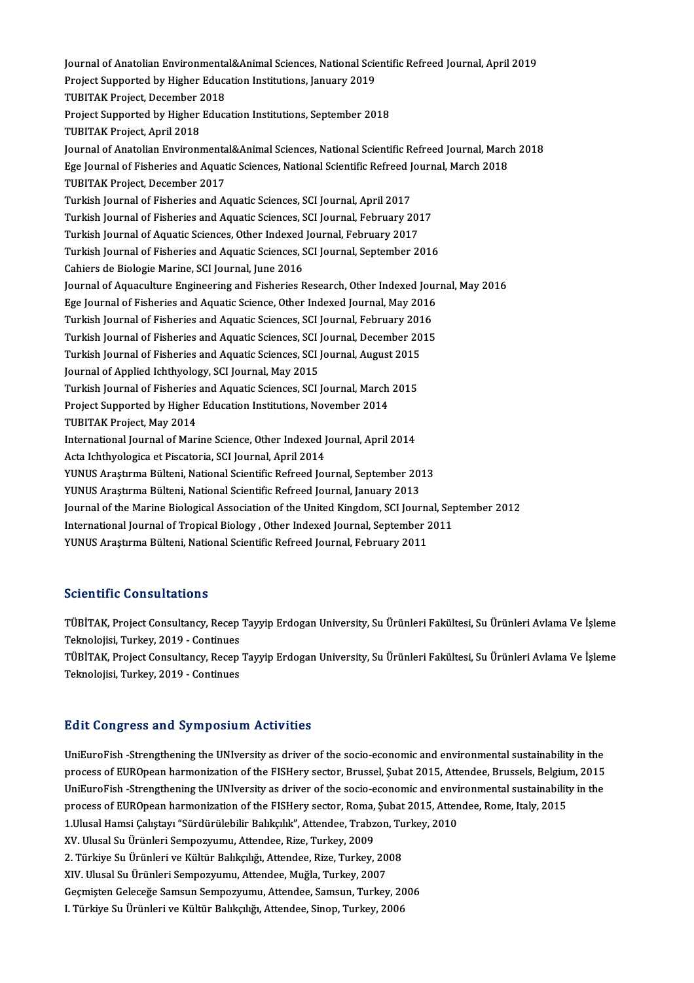Journal of Anatolian Environmental&Animal Sciences, National Scientific Refreed Journal, April 2019<br>Preject Supperted by Hisber Education Institutions, Jonuary 2019 Journal of Anatolian Environmental&Animal Sciences, National Scie<br>Project Supported by Higher Education Institutions, January 2019<br>TURITAK Preject, Desember 2019 Journal of Anatolian Environmenta<br>Project Supported by Higher Educa<br>TUBITAK Project, December 2018<br>Project Supported by Higher Educa Project Supported by Higher Education Institutions, January 2019<br>TUBITAK Project, December 2018<br>Project Supported by Higher Education Institutions, September 2018<br>TUBITAK Project, April 2018 TUBITAK Project, December 2<br>Project Supported by Higher<br>TUBITAK Project, April 2018<br>Journal of Anatolian Environn Journal of Anatolian Environmental&Animal Sciences, National Scientific Refreed Journal, March 2018 TUBITAK Project, April 2018<br>Journal of Anatolian Environmental&Animal Sciences, National Scientific Refreed Journal, Marc<br>Ege Journal of Fisheries and Aquatic Sciences, National Scientific Refreed Journal, March 2018<br>TURIT Journal of Anatolian Environmenta<br>Ege Journal of Fisheries and Aquat<br>TUBITAK Project, December 2017<br>Turkich Journal of Eisheries and A Ege Journal of Fisheries and Aquatic Sciences, National Scientific Refreed J<br>TUBITAK Project, December 2017<br>Turkish Journal of Fisheries and Aquatic Sciences, SCI Journal, April 2017<br>Turkish Journal of Fisheries and Aquati TUBITAK Project, December 2017<br>Turkish Journal of Fisheries and Aquatic Sciences, SCI Journal, April 2017<br>Turkish Journal of Fisheries and Aquatic Sciences, SCI Journal, February 2017<br>Turkish Journal of Aquatic Sciences, O Turkish Journal of Fisheries and Aquatic Sciences, SCI Journal, April 2017<br>Turkish Journal of Fisheries and Aquatic Sciences, SCI Journal, February 201<br>Turkish Journal of Aquatic Sciences, Other Indexed Journal, February 2 Turkish Journal of Fisheries and Aquatic Sciences, SCI Journal, February 2017<br>Turkish Journal of Aquatic Sciences, Other Indexed Journal, February 2017<br>Turkish Journal of Fisheries and Aquatic Sciences, SCI Journal, Septem Turkish Journal of Aquatic Sciences, Other Indexed Journal, February 2017<br>Turkish Journal of Fisheries and Aquatic Sciences, SCI Journal, September 2016<br>Cahiers de Biologie Marine, SCI Journal, June 2016 Turkish Journal of Fisheries and Aquatic Sciences, SCI Journal, September 2016<br>Cahiers de Biologie Marine, SCI Journal, June 2016<br>Journal of Aquaculture Engineering and Fisheries Research, Other Indexed Journal, May 2016<br>E Cahiers de Biologie Marine, SCI Journal, June 2016<br>Journal of Aquaculture Engineering and Fisheries Research, Other Indexed Jour<br>Ege Journal of Fisheries and Aquatic Science, Other Indexed Journal, May 2016<br>Turkish Journal Journal of Aquaculture Engineering and Fisheries Research, Other Indexed Jou<br>Ege Journal of Fisheries and Aquatic Science, Other Indexed Journal, May 2016<br>Turkish Journal of Fisheries and Aquatic Sciences, SCI Journal, Feb Ege Journal of Fisheries and Aquatic Science, Other Indexed Journal, May 2016<br>Turkish Journal of Fisheries and Aquatic Sciences, SCI Journal, February 2016<br>Turkish Journal of Fisheries and Aquatic Sciences, SCI Journal, De Turkish Journal of Fisheries and Aquatic Sciences, SCI Journal, February 2016 Journal of Applied Ichthyology, SCI Journal, May 2015 Turkish Journal of Fisheries and Aquatic Sciences, SCI Journal, August 2015<br>Journal of Applied Ichthyology, SCI Journal, May 2015<br>Turkish Journal of Fisheries and Aquatic Sciences, SCI Journal, March 2015<br>Preject Sunnarted Journal of Applied Ichthyology, SCI Journal, May 2015<br>Turkish Journal of Fisheries and Aquatic Sciences, SCI Journal, March<br>Project Supported by Higher Education Institutions, November 2014<br>TURITAK Project May 2014 Turkish Journal of Fisheries<br>Project Supported by Higher<br>TUBITAK Project, May 2014<br>International Journal of Mari Project Supported by Higher Education Institutions, November 2014<br>TUBITAK Project, May 2014<br>International Journal of Marine Science, Other Indexed Journal, April 2014<br>Acta Johthyalogica et Piscatoria, SCI Journal, April 20 TUBITAK Project, May 2014<br>International Journal of Marine Science, Other Indexed J<br>Acta Ichthyologica et Piscatoria, SCI Journal, April 2014<br>VINUS Arasturma Bültoni, National Scientific Bofreed Jou International Journal of Marine Science, Other Indexed Journal, April 2014<br>Acta Ichthyologica et Piscatoria, SCI Journal, April 2014<br>YUNUS Araştırma Bülteni, National Scientific Refreed Journal, September 2013<br>YUNUS Arastı Acta Ichthyologica et Piscatoria, SCI Journal, April 2014<br>YUNUS Araştırma Bülteni, National Scientific Refreed Journal, September 2013<br>YUNUS Araştırma Bülteni, National Scientific Refreed Journal, January 2013 Journal of the Marine Biological Association of the United Kingdom, SCI Journal, September 2012 International Journal of Tropical Biology, Other Indexed Journal, September 2011 YUNUS Araştırma Bülteni, National Scientific Refreed Journal, February 2011

#### Scientific Consultations

Scie**ntific Consultations**<br>TÜBİTAK, Project Consultancy, Recep Tayyip Erdogan University, Su Ürünleri Fakültesi, Su Ürünleri Avlama Ve İşleme<br>Telmelejisi Turkey, 2019, Continues TübitAK, Project Consultancy, Recep<br>TübiTAK, Project Consultancy, Recep<br>TübiTAK, Project Consultancy, Becep TÜBİTAK, Project Consultancy, Recep Tayyip Erdogan University, Su Ürünleri Fakültesi, Su Ürünleri Avlama Ve İşleme<br>Teknolojisi, Turkey, 2019 - Continues<br>TüBİTAK, Project Consultancy, Recep Tayyip Erdogan University, Su Ürü

Teknolojisi, Turkey, 2019 - Continues<br>TÜBİTAK, Project Consultancy, Recep Tayyip Erdogan University, Su Ürünleri Fakültesi, Su Ürünleri Avlama Ve İşleme<br>Teknolojisi, Turkey, 2019 - Continues

#### **Edit Congress and Symposium Activities**

UniEuroFish -Strengthening the UNIversity as driver of the socio-economic and environmental sustainability in the part wongs one and by mpodeum stock rates<br>UniEuroFish -Strengthening the UNIversity as driver of the socio-economic and environmental sustainability in the<br>UniEuroFish, Strengthening the UNIversity as driver of the socio e UniEuroFish -Strengthening the UNIversity as driver of the socio-economic and environmental sustainability in the<br>process of EUROpean harmonization of the FISHery sector, Brussel, Şubat 2015, Attendee, Brussels, Belgium, 2 process of EUROpean harmonization of the FISHery sector, Brussel, Şubat 2015, Attendee, Brussels, Belgiur<br>UniEuroFish -Strengthening the UNIversity as driver of the socio-economic and environmental sustainability<br>process o UniEuroFish -Strengthening the UNIversity as driver of the socio-economic and envi<br>process of EUROpean harmonization of the FISHery sector, Roma, Şubat 2015, Atten<br>1.Ulusal Hamsi Çalıştayı "Sürdürülebilir Balıkçılık", Atte process of EUROpean harmonization of the FISHery sector, Roma,<br>1.Ulusal Hamsi Çalıştayı "Sürdürülebilir Balıkçılık", Attendee, Trabz,<br>XV. Ulusal Su Ürünleri Sempozyumu, Attendee, Rize, Turkey, 2009<br>2. Türkiye Su Ürünleri v 1.Ulusal Hamsi Çalıştayı "Sürdürülebilir Balıkçılık", Attendee, Trabzon, Tu<br>XV. Ulusal Su Ürünleri Sempozyumu, Attendee, Rize, Turkey, 2009<br>2. Türkiye Su Ürünleri ve Kültür Balıkçılığı, Attendee, Rize, Turkey, 2008<br>XIV. Ul XV. Ulusal Su Ürünleri Sempozyumu, Attendee, Rize, Turkey, 2009<br>2. Türkiye Su Ürünleri ve Kültür Balıkçılığı, Attendee, Rize, Turkey, 2008<br>XIV. Ulusal Su Ürünleri Sempozyumu, Attendee, Muğla, Turkey, 2007 2. Türkiye Su Ürünleri ve Kültür Balıkçılığı, Attendee, Rize, Turkey, 2008<br>XIV. Ulusal Su Ürünleri Sempozyumu, Attendee, Muğla, Turkey, 2007<br>Geçmişten Geleceğe Samsun Sempozyumu, Attendee, Samsun, Turkey, 2006<br>L. Türkiye S XIV. Ulusal Su Ürünleri Sempozyumu, Attendee, Muğla, Turkey, 2007<br>Geçmişten Geleceğe Samsun Sempozyumu, Attendee, Samsun, Turkey, 20<br>I. Türkiye Su Ürünleri ve Kültür Balıkçılığı, Attendee, Sinop, Turkey, 2006